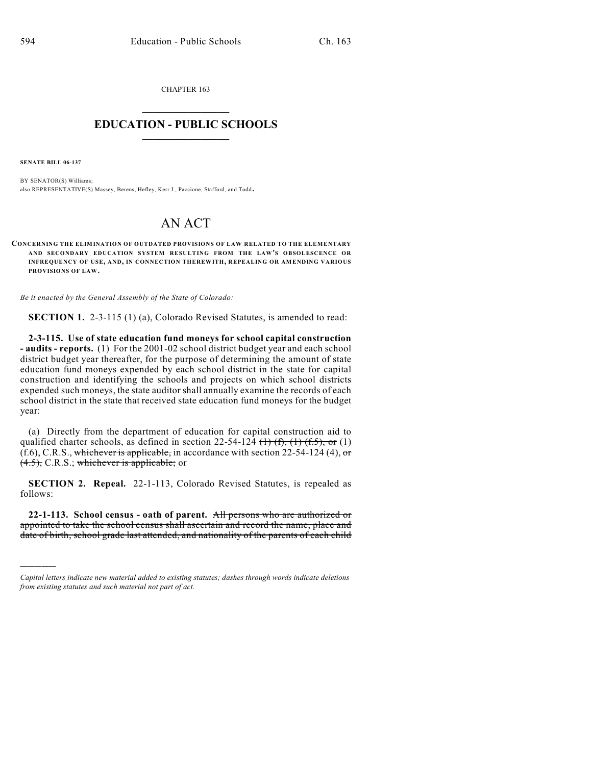CHAPTER 163  $\overline{\phantom{a}}$  . The set of the set of the set of the set of the set of the set of the set of the set of the set of the set of the set of the set of the set of the set of the set of the set of the set of the set of the set o

## **EDUCATION - PUBLIC SCHOOLS**  $\_$   $\_$   $\_$   $\_$   $\_$   $\_$   $\_$   $\_$   $\_$

**SENATE BILL 06-137**

)))))

BY SENATOR(S) Williams; also REPRESENTATIVE(S) Massey, Berens, Hefley, Kerr J., Paccione, Stafford, and Todd.

# AN ACT

**CONCERNING THE ELIMINATION OF OUTDATED PROVISIONS OF LAW RELATED TO THE ELEMENTARY AND SECONDARY EDUCATION SYSTEM RESULTING FROM THE LAW'S OBSOLESCENCE OR INFREQUENCY OF USE, AND, IN CONNECTION THEREWITH, REPEALING OR AMENDING VARIOUS PROVISIONS OF LAW.**

*Be it enacted by the General Assembly of the State of Colorado:*

**SECTION 1.** 2-3-115 (1) (a), Colorado Revised Statutes, is amended to read:

**2-3-115. Use of state education fund moneys for school capital construction - audits - reports.** (1) For the 2001-02 school district budget year and each school district budget year thereafter, for the purpose of determining the amount of state education fund moneys expended by each school district in the state for capital construction and identifying the schools and projects on which school districts expended such moneys, the state auditor shall annually examine the records of each school district in the state that received state education fund moneys for the budget year:

(a) Directly from the department of education for capital construction aid to qualified charter schools, as defined in section 22-54-124  $(1)$   $(1)$ ,  $(1)$ ,  $(1)$ ,  $(1)$ ,  $(1)$  $(f.6)$ , C.R.S., whichever is applicable, in accordance with section 22-54-124 (4), or (4.5), C.R.S.; whichever is applicable; or

**SECTION 2. Repeal.** 22-1-113, Colorado Revised Statutes, is repealed as follows:

**22-1-113. School census - oath of parent.** All persons who are authorized or appointed to take the school census shall ascertain and record the name, place and date of birth, school grade last attended, and nationality of the parents of each child

*Capital letters indicate new material added to existing statutes; dashes through words indicate deletions from existing statutes and such material not part of act.*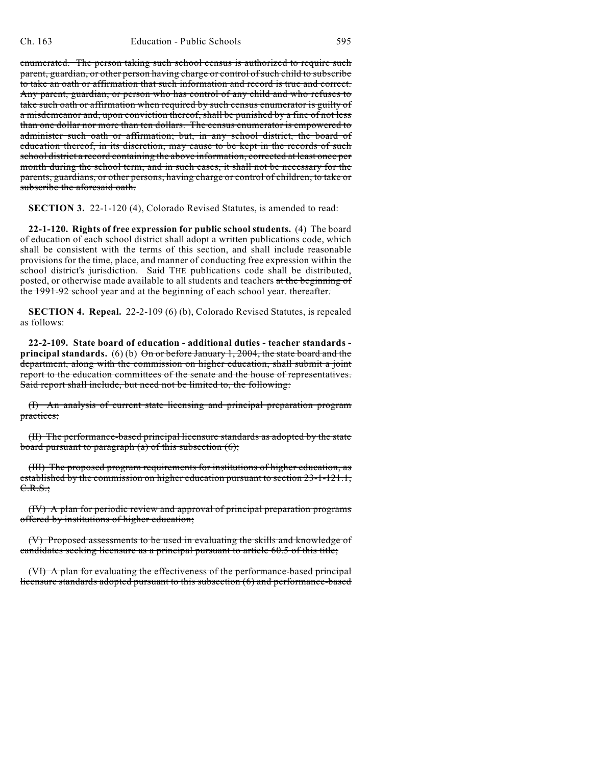enumerated. The person taking such school census is authorized to require such parent, guardian, or other person having charge or control of such child to subscribe to take an oath or affirmation that such information and record is true and correct. Any parent, guardian, or person who has control of any child and who refuses to take such oath or affirmation when required by such census enumerator is guilty of a misdemeanor and, upon conviction thereof, shall be punished by a fine of not less than one dollar nor more than ten dollars. The census enumerator is empowered to administer such oath or affirmation; but, in any school district, the board of education thereof, in its discretion, may cause to be kept in the records of such school district a record containing the above information, corrected at least once per month during the school term, and in such cases, it shall not be necessary for the parents, guardians, or other persons, having charge or control of children, to take or subscribe the aforesaid oath.

**SECTION 3.** 22-1-120 (4), Colorado Revised Statutes, is amended to read:

**22-1-120. Rights of free expression for public school students.** (4) The board of education of each school district shall adopt a written publications code, which shall be consistent with the terms of this section, and shall include reasonable provisions for the time, place, and manner of conducting free expression within the school district's jurisdiction. Said THE publications code shall be distributed, posted, or otherwise made available to all students and teachers at the beginning of the 1991-92 school year and at the beginning of each school year. thereafter.

**SECTION 4. Repeal.** 22-2-109 (6) (b), Colorado Revised Statutes, is repealed as follows:

**22-2-109. State board of education - additional duties - teacher standards principal standards.** (6) (b) On or before January 1, 2004, the state board and the department, along with the commission on higher education, shall submit a joint report to the education committees of the senate and the house of representatives. Said report shall include, but need not be limited to, the following:

(I) An analysis of current state licensing and principal preparation program practices;

(II) The performance-based principal licensure standards as adopted by the state board pursuant to paragraph (a) of this subsection (6);

(III) The proposed program requirements for institutions of higher education, as established by the commission on higher education pursuant to section 23-1-121.1, C.R.S.;

(IV) A plan for periodic review and approval of principal preparation programs offered by institutions of higher education;

(V) Proposed assessments to be used in evaluating the skills and knowledge of candidates seeking licensure as a principal pursuant to article 60.5 of this title;

(VI) A plan for evaluating the effectiveness of the performance-based principal licensure standards adopted pursuant to this subsection (6) and performance-based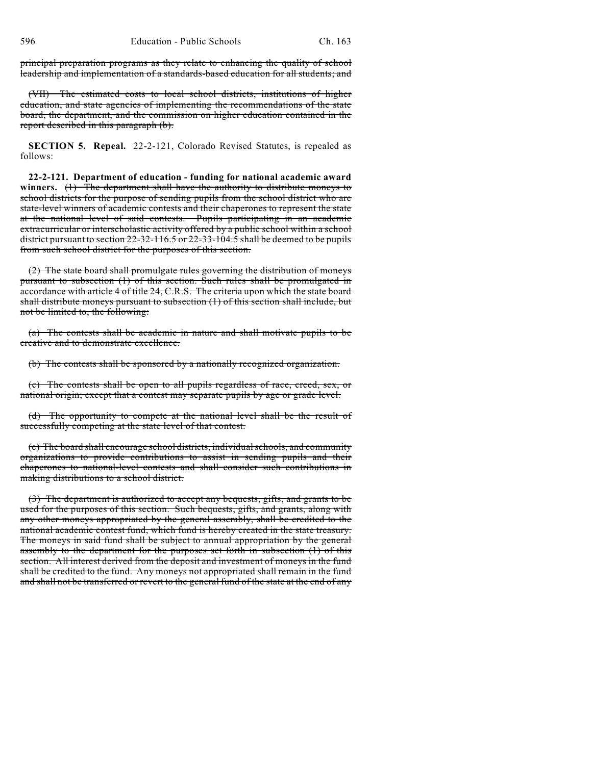principal preparation programs as they relate to enhancing the quality of school leadership and implementation of a standards-based education for all students; and

(VII) The estimated costs to local school districts, institutions of higher education, and state agencies of implementing the recommendations of the state board, the department, and the commission on higher education contained in the report described in this paragraph (b).

**SECTION 5. Repeal.** 22-2-121, Colorado Revised Statutes, is repealed as follows:

**22-2-121. Department of education - funding for national academic award winners.** (1) The department shall have the authority to distribute moneys to school districts for the purpose of sending pupils from the school district who are state-level winners of academic contests and their chaperones to represent the state at the national level of said contests. Pupils participating in an academic extracurricular or interscholastic activity offered by a public school within a school district pursuant to section 22-32-116.5 or 22-33-104.5 shall be deemed to be pupils from such school district for the purposes of this section.

(2) The state board shall promulgate rules governing the distribution of moneys pursuant to subsection (1) of this section. Such rules shall be promulgated in accordance with article 4 of title 24, C.R.S. The criteria upon which the state board shall distribute moneys pursuant to subsection (1) of this section shall include, but not be limited to, the following:

(a) The contests shall be academic in nature and shall motivate pupils to be creative and to demonstrate excellence.

(b) The contests shall be sponsored by a nationally recognized organization.

(c) The contests shall be open to all pupils regardless of race, creed, sex, or national origin; except that a contest may separate pupils by age or grade level.

(d) The opportunity to compete at the national level shall be the result of successfully competing at the state level of that contest.

(e) The board shall encourage school districts, individual schools, and community organizations to provide contributions to assist in sending pupils and their chaperones to national-level contests and shall consider such contributions in making distributions to a school district.

(3) The department is authorized to accept any bequests, gifts, and grants to be used for the purposes of this section. Such bequests, gifts, and grants, along with any other moneys appropriated by the general assembly, shall be credited to the national academic contest fund, which fund is hereby created in the state treasury. The moneys in said fund shall be subject to annual appropriation by the general assembly to the department for the purposes set forth in subsection (1) of this section. All interest derived from the deposit and investment of moneys in the fund shall be credited to the fund. Any moneys not appropriated shall remain in the fund and shall not be transferred or revert to the general fund of the state at the end of any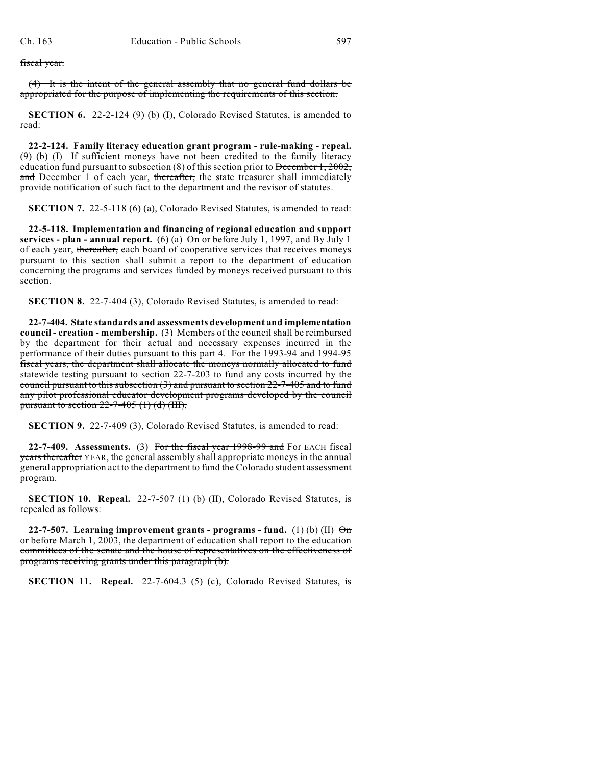#### fiscal year.

(4) It is the intent of the general assembly that no general fund dollars be appropriated for the purpose of implementing the requirements of this section.

**SECTION 6.** 22-2-124 (9) (b) (I), Colorado Revised Statutes, is amended to read:

**22-2-124. Family literacy education grant program - rule-making - repeal.** (9) (b) (I) If sufficient moneys have not been credited to the family literacy education fund pursuant to subsection (8) of this section prior to December 1, 2002, and December 1 of each year, thereafter, the state treasurer shall immediately provide notification of such fact to the department and the revisor of statutes.

**SECTION 7.** 22-5-118 (6) (a), Colorado Revised Statutes, is amended to read:

**22-5-118. Implementation and financing of regional education and support services - plan - annual report.** (6) (a)  $\Theta$ <del>n or before July 1, 1997, and</del> By July 1 of each year, thereafter, each board of cooperative services that receives moneys pursuant to this section shall submit a report to the department of education concerning the programs and services funded by moneys received pursuant to this section.

**SECTION 8.** 22-7-404 (3), Colorado Revised Statutes, is amended to read:

**22-7-404. State standards and assessments development and implementation council - creation - membership.** (3) Members of the council shall be reimbursed by the department for their actual and necessary expenses incurred in the performance of their duties pursuant to this part 4. For the 1993-94 and 1994-95 fiscal years, the department shall allocate the moneys normally allocated to fund statewide testing pursuant to section 22-7-203 to fund any costs incurred by the council pursuant to this subsection  $(3)$  and pursuant to section  $22$ -7-405 and to fund any pilot professional educator development programs developed by the council pursuant to section  $22-7-405$  (1) (d) (III).

**SECTION 9.** 22-7-409 (3), Colorado Revised Statutes, is amended to read:

**22-7-409. Assessments.** (3) For the fiscal year 1998-99 and For EACH fiscal years thereafter YEAR, the general assembly shall appropriate moneys in the annual general appropriation act to the department to fund the Colorado student assessment program.

**SECTION 10. Repeal.** 22-7-507 (1) (b) (II), Colorado Revised Statutes, is repealed as follows:

**22-7-507.** Learning improvement grants - programs - fund. (1) (b) (II)  $\Theta$ m or before March 1, 2003, the department of education shall report to the education committees of the senate and the house of representatives on the effectiveness of programs receiving grants under this paragraph (b).

**SECTION 11. Repeal.** 22-7-604.3 (5) (c), Colorado Revised Statutes, is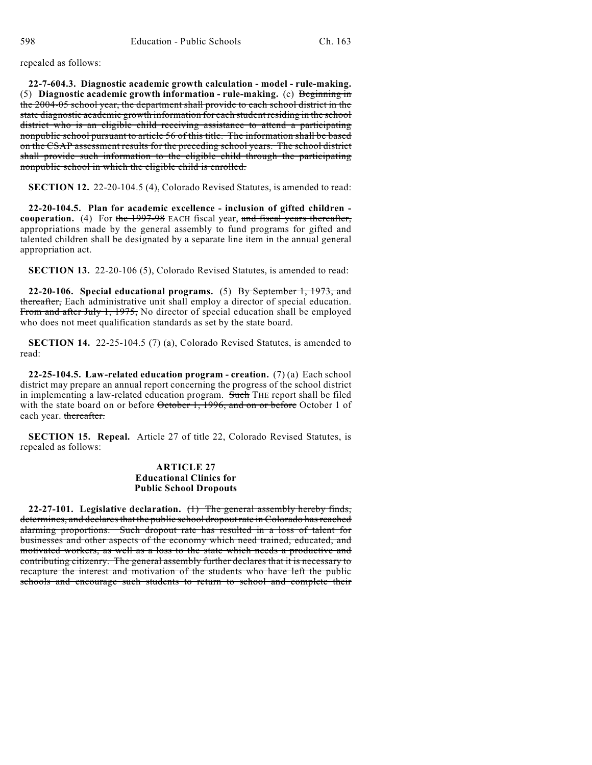repealed as follows:

**22-7-604.3. Diagnostic academic growth calculation - model - rule-making.** (5) **Diagnostic academic growth information - rule-making.** (c) Beginning in the 2004-05 school year, the department shall provide to each school district in the state diagnostic academic growth information for each student residing in the school district who is an eligible child receiving assistance to attend a participating nonpublic school pursuant to article 56 of this title. The information shall be based on the CSAP assessment results for the preceding school years. The school district shall provide such information to the eligible child through the participating nonpublic school in which the eligible child is enrolled.

**SECTION 12.** 22-20-104.5 (4), Colorado Revised Statutes, is amended to read:

**22-20-104.5. Plan for academic excellence - inclusion of gifted children cooperation.** (4) For the 1997-98 EACH fiscal year, and fiscal years thereafter, appropriations made by the general assembly to fund programs for gifted and talented children shall be designated by a separate line item in the annual general appropriation act.

**SECTION 13.** 22-20-106 (5), Colorado Revised Statutes, is amended to read:

**22-20-106. Special educational programs.** (5) By September 1, 1973, and thereafter, Each administrative unit shall employ a director of special education. From and after July 1, 1975, No director of special education shall be employed who does not meet qualification standards as set by the state board.

**SECTION 14.** 22-25-104.5 (7) (a), Colorado Revised Statutes, is amended to read:

**22-25-104.5. Law-related education program - creation.** (7) (a) Each school district may prepare an annual report concerning the progress of the school district in implementing a law-related education program. Such THE report shall be filed with the state board on or before October 1, 1996, and on or before October 1 of each year. thereafter.

**SECTION 15. Repeal.** Article 27 of title 22, Colorado Revised Statutes, is repealed as follows:

#### **ARTICLE 27 Educational Clinics for Public School Dropouts**

**22-27-101. Legislative declaration.** (1) The general assembly hereby finds, determines, and declares that the public school dropout rate in Colorado has reached alarming proportions. Such dropout rate has resulted in a loss of talent for businesses and other aspects of the economy which need trained, educated, and motivated workers, as well as a loss to the state which needs a productive and contributing citizenry. The general assembly further declares that it is necessary to recapture the interest and motivation of the students who have left the public schools and encourage such students to return to school and complete their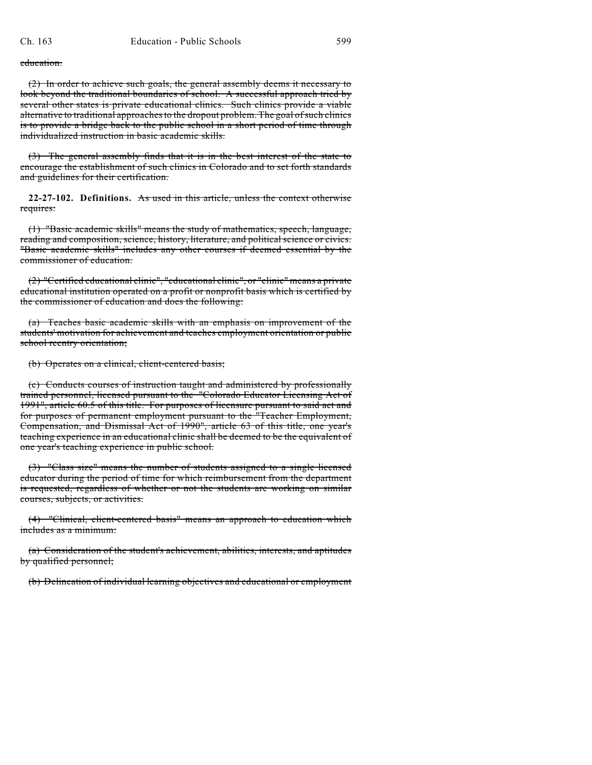education.

(2) In order to achieve such goals, the general assembly deems it necessary to look beyond the traditional boundaries of school. A successful approach tried by several other states is private educational clinics. Such clinics provide a viable alternative to traditional approaches to the dropout problem. The goal of such clinics is to provide a bridge back to the public school in a short period of time through individualized instruction in basic academic skills.

(3) The general assembly finds that it is in the best interest of the state to encourage the establishment of such clinics in Colorado and to set forth standards and guidelines for their certification.

**22-27-102. Definitions.** As used in this article, unless the context otherwise requires:

(1) "Basic academic skills" means the study of mathematics, speech, language, reading and composition, science, history, literature, and political science or civics. "Basic academic skills" includes any other courses if deemed essential by the commissioner of education.

(2) "Certified educational clinic", "educational clinic", or "clinic" means a private educational institution operated on a profit or nonprofit basis which is certified by the commissioner of education and does the following:

(a) Teaches basic academic skills with an emphasis on improvement of the students' motivation for achievement and teaches employment orientation or public school reentry orientation;

(b) Operates on a clinical, client-centered basis;

(c) Conducts courses of instruction taught and administered by professionally trained personnel, licensed pursuant to the "Colorado Educator Licensing Act of 1991", article 60.5 of this title. For purposes of licensure pursuant to said act and for purposes of permanent employment pursuant to the "Teacher Employment, Compensation, and Dismissal Act of 1990", article 63 of this title, one year's teaching experience in an educational clinic shall be deemed to be the equivalent of one year's teaching experience in public school.

(3) "Class size" means the number of students assigned to a single licensed educator during the period of time for which reimbursement from the department is requested, regardless of whether or not the students are working on similar courses, subjects, or activities.

(4) "Clinical, client-centered basis" means an approach to education which includes as a minimum:

(a) Consideration of the student's achievement, abilities, interests, and aptitudes by qualified personnel;

(b) Delineation of individual learning objectives and educational or employment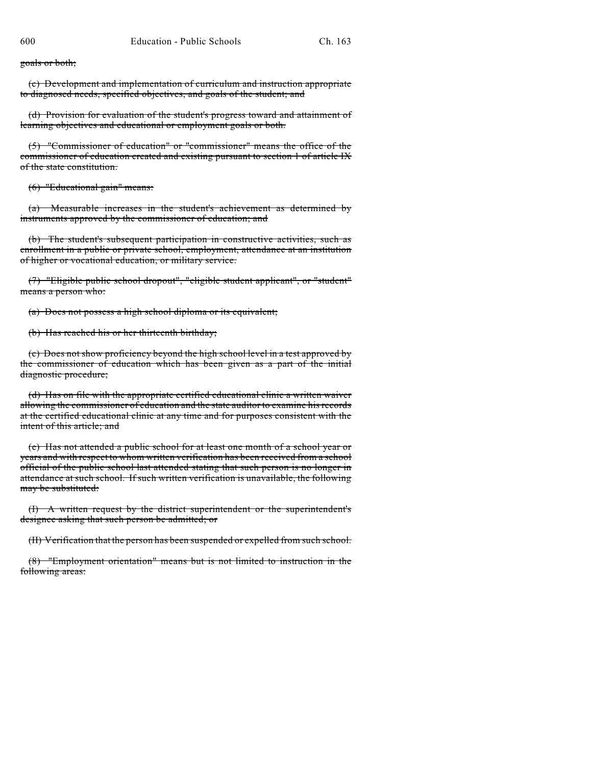goals or both;

(c) Development and implementation of curriculum and instruction appropriate to diagnosed needs, specified objectives, and goals of the student; and

(d) Provision for evaluation of the student's progress toward and attainment of learning objectives and educational or employment goals or both.

(5) "Commissioner of education" or "commissioner" means the office of the commissioner of education created and existing pursuant to section 1 of article IX of the state constitution.

(6) "Educational gain" means:

(a) Measurable increases in the student's achievement as determined by instruments approved by the commissioner of education; and

(b) The student's subsequent participation in constructive activities, such as enrollment in a public or private school, employment, attendance at an institution of higher or vocational education, or military service.

(7) "Eligible public school dropout", "eligible student applicant", or "student" means a person who:

(a) Does not possess a high school diploma or its equivalent;

(b) Has reached his or her thirteenth birthday;

(c) Does not show proficiency beyond the high school level in a test approved by the commissioner of education which has been given as a part of the initial diagnostic procedure;

(d) Has on file with the appropriate certified educational clinic a written waiver allowing the commissioner of education and the state auditor to examine his records at the certified educational clinic at any time and for purposes consistent with the intent of this article; and

(e) Has not attended a public school for at least one month of a school year or years and with respect to whom written verification has been received from a school official of the public school last attended stating that such person is no longer in attendance at such school. If such written verification is unavailable, the following may be substituted:

(I) A written request by the district superintendent or the superintendent's designee asking that such person be admitted; or

(II) Verification that the person has been suspended or expelled from such school.

(8) "Employment orientation" means but is not limited to instruction in the following areas: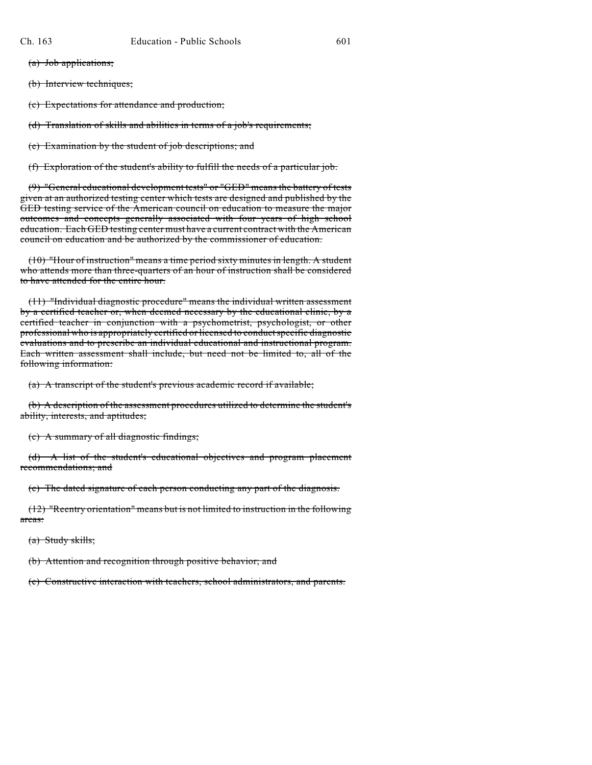(a) Job applications;

(b) Interview techniques;

(c) Expectations for attendance and production;

(d) Translation of skills and abilities in terms of a job's requirements;

(e) Examination by the student of job descriptions; and

(f) Exploration of the student's ability to fulfill the needs of a particular job.

(9) "General educational development tests" or "GED" means the battery of tests given at an authorized testing center which tests are designed and published by the GED testing service of the American council on education to measure the major outcomes and concepts generally associated with four years of high school education. Each GED testing center must have a current contract with the American council on education and be authorized by the commissioner of education.

(10) "Hour of instruction" means a time period sixty minutes in length. A student who attends more than three-quarters of an hour of instruction shall be considered to have attended for the entire hour.

(11) "Individual diagnostic procedure" means the individual written assessment by a certified teacher or, when deemed necessary by the educational clinic, by a certified teacher in conjunction with a psychometrist, psychologist, or other professional who is appropriately certified or licensed to conduct specific diagnostic evaluations and to prescribe an individual educational and instructional program. Each written assessment shall include, but need not be limited to, all of the following information:

(a) A transcript of the student's previous academic record if available;

(b) A description of the assessment procedures utilized to determine the student's ability, interests, and aptitudes;

(c) A summary of all diagnostic findings;

(d) A list of the student's educational objectives and program placement recommendations; and

(e) The dated signature of each person conducting any part of the diagnosis.

(12) "Reentry orientation" means but is not limited to instruction in the following areas:

(a) Study skills;

(b) Attention and recognition through positive behavior; and

(c) Constructive interaction with teachers, school administrators, and parents.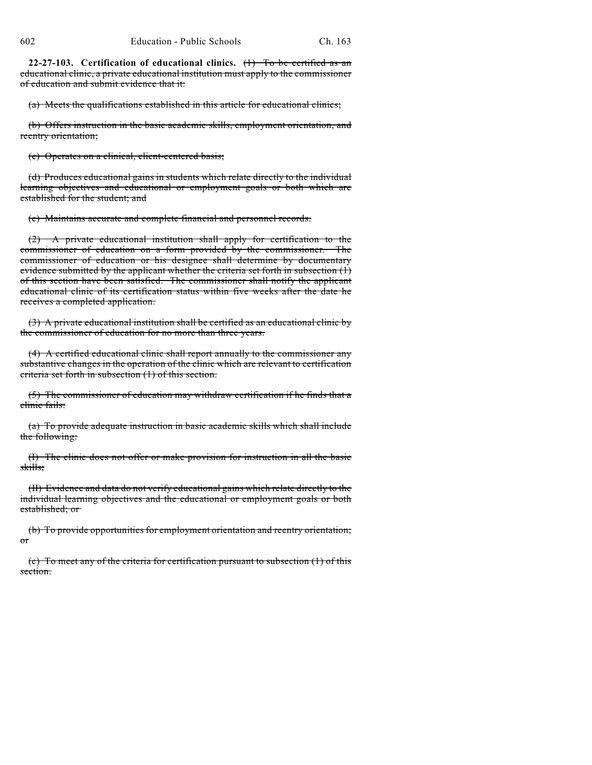**22-27-103. Certification of educational clinics.** (1) To be certified as an educational clinic, a private educational institution must apply to the commissioner of education and submit evidence that it:

(a) Meets the qualifications established in this article for educational clinics;

(b) Offers instruction in the basic academic skills, employment orientation, and reentry orientation;

(c) Operates on a clinical, client-centered basis;

(d) Produces educational gains in students which relate directly to the individual learning objectives and educational or employment goals or both which are established for the student; and

(e) Maintains accurate and complete financial and personnel records.

(2) A private educational institution shall apply for certification to the commissioner of education on a form provided by the commissioner. The commissioner of education or his designee shall determine by documentary evidence submitted by the applicant whether the criteria set forth in subsection (1) of this section have been satisfied. The commissioner shall notify the applicant educational clinic of its certification status within five weeks after the date he receives a completed application.

(3) A private educational institution shall be certified as an educational clinic by the commissioner of education for no more than three years.

(4) A certified educational clinic shall report annually to the commissioner any substantive changes in the operation of the clinic which are relevant to certification criteria set forth in subsection (1) of this section.

(5) The commissioner of education may withdraw certification if he finds that a clinic fails:

(a) To provide adequate instruction in basic academic skills which shall include the following:

(I) The clinic does not offer or make provision for instruction in all the basic skills;

(II) Evidence and data do not verify educational gains which relate directly to the individual learning objectives and the educational or employment goals or both established; or

(b) To provide opportunities for employment orientation and reentry orientation; or

(c) To meet any of the criteria for certification pursuant to subsection (1) of this section.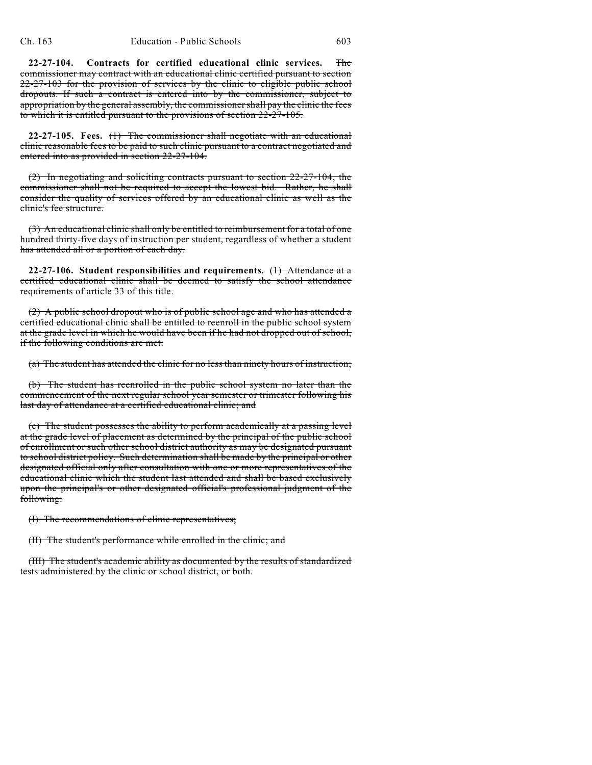**22-27-104. Contracts for certified educational clinic services.** The commissioner may contract with an educational clinic certified pursuant to section 22-27-103 for the provision of services by the clinic to eligible public school dropouts. If such a contract is entered into by the commissioner, subject to appropriation by the general assembly, the commissioner shall pay the clinic the fees to which it is entitled pursuant to the provisions of section 22-27-105.

**22-27-105. Fees.** (1) The commissioner shall negotiate with an educational clinic reasonable fees to be paid to such clinic pursuant to a contract negotiated and entered into as provided in section 22-27-104.

(2) In negotiating and soliciting contracts pursuant to section 22-27-104, the commissioner shall not be required to accept the lowest bid. Rather, he shall consider the quality of services offered by an educational clinic as well as the clinic's fee structure.

(3) An educational clinic shall only be entitled to reimbursement for a total of one hundred thirty-five days of instruction per student, regardless of whether a student has attended all or a portion of each day.

**22-27-106. Student responsibilities and requirements.** (1) Attendance at a certified educational clinic shall be deemed to satisfy the school attendance requirements of article 33 of this title.

(2) A public school dropout who is of public school age and who has attended a certified educational clinic shall be entitled to reenroll in the public school system at the grade level in which he would have been if he had not dropped out of school, if the following conditions are met:

(a) The student has attended the clinic for no less than ninety hours of instruction;

(b) The student has reenrolled in the public school system no later than the commencement of the next regular school year semester or trimester following his last day of attendance at a certified educational clinic; and

(c) The student possesses the ability to perform academically at a passing level at the grade level of placement as determined by the principal of the public school of enrollment or such other school district authority as may be designated pursuant to school district policy. Such determination shall be made by the principal or other designated official only after consultation with one or more representatives of the educational clinic which the student last attended and shall be based exclusively upon the principal's or other designated official's professional judgment of the following:

(I) The recommendations of clinic representatives;

(II) The student's performance while enrolled in the clinic; and

(III) The student's academic ability as documented by the results of standardized tests administered by the clinic or school district, or both.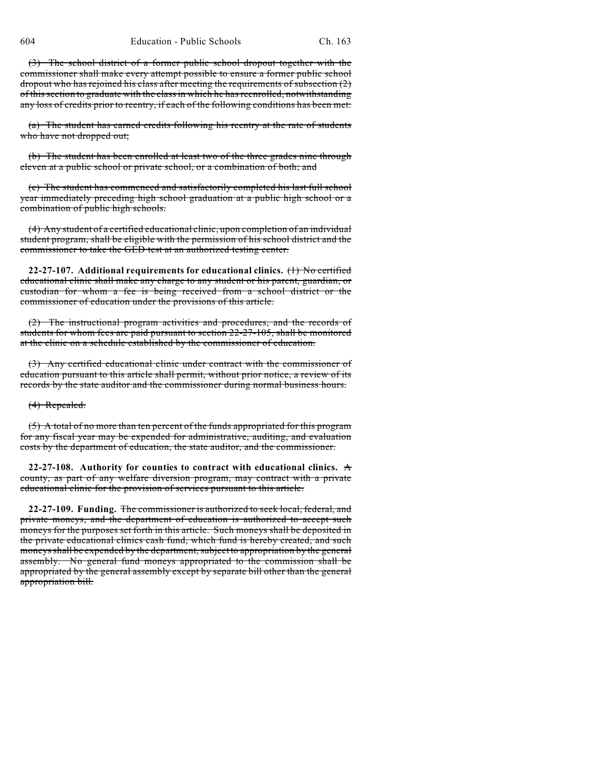(3) The school district of a former public school dropout together with the commissioner shall make every attempt possible to ensure a former public school dropout who has rejoined his class after meeting the requirements of subsection (2) of this section to graduate with the class in which he has reenrolled, notwithstanding any loss of credits prior to reentry, if each of the following conditions has been met:

(a) The student has earned credits following his reentry at the rate of students who have not dropped out;

(b) The student has been enrolled at least two of the three grades nine through eleven at a public school or private school, or a combination of both; and

(c) The student has commenced and satisfactorily completed his last full school year immediately preceding high school graduation at a public high school or a combination of public high schools.

(4) Any student of a certified educational clinic, upon completion of an individual student program, shall be eligible with the permission of his school district and the commissioner to take the GED test at an authorized testing center.

**22-27-107. Additional requirements for educational clinics.** (1) No certified educational clinic shall make any charge to any student or his parent, guardian, or custodian for whom a fee is being received from a school district or the commissioner of education under the provisions of this article.

(2) The instructional program activities and procedures, and the records of students for whom fees are paid pursuant to section 22-27-105, shall be monitored at the clinic on a schedule established by the commissioner of education.

(3) Any certified educational clinic under contract with the commissioner of education pursuant to this article shall permit, without prior notice, a review of its records by the state auditor and the commissioner during normal business hours.

(4) Repealed.

(5) A total of no more than ten percent of the funds appropriated for this program for any fiscal year may be expended for administrative, auditing, and evaluation costs by the department of education, the state auditor, and the commissioner.

**22-27-108. Authority for counties to contract with educational clinics.** A county, as part of any welfare diversion program, may contract with a private educational clinic for the provision of services pursuant to this article.

**22-27-109. Funding.** The commissioner is authorized to seek local, federal, and private moneys, and the department of education is authorized to accept such moneys for the purposes set forth in this article. Such moneys shall be deposited in the private educational clinics cash fund, which fund is hereby created, and such moneys shall be expended by the department, subject to appropriation by the general assembly. No general fund moneys appropriated to the commission shall be appropriated by the general assembly except by separate bill other than the general appropriation bill.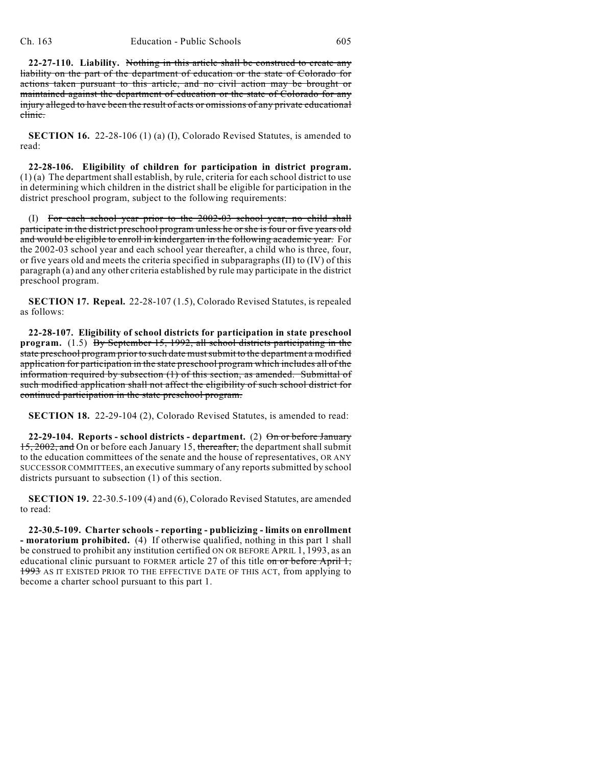**22-27-110. Liability.** Nothing in this article shall be construed to create any liability on the part of the department of education or the state of Colorado for actions taken pursuant to this article, and no civil action may be brought or maintained against the department of education or the state of Colorado for any injury alleged to have been the result of acts or omissions of any private educational clinic.

**SECTION 16.** 22-28-106 (1) (a) (I), Colorado Revised Statutes, is amended to read:

**22-28-106. Eligibility of children for participation in district program.**  $(1)$  (a) The department shall establish, by rule, criteria for each school district to use in determining which children in the district shall be eligible for participation in the district preschool program, subject to the following requirements:

(I) For each school year prior to the 2002-03 school year, no child shall participate in the district preschool program unless he or she is four or five years old and would be eligible to enroll in kindergarten in the following academic year. For the 2002-03 school year and each school year thereafter, a child who is three, four, or five years old and meets the criteria specified in subparagraphs (II) to (IV) of this paragraph (a) and any other criteria established by rule may participate in the district preschool program.

**SECTION 17. Repeal.** 22-28-107 (1.5), Colorado Revised Statutes, is repealed as follows:

**22-28-107. Eligibility of school districts for participation in state preschool program.** (1.5) By September 15, 1992, all school districts participating in the state preschool program prior to such date mustsubmit to the department a modified application for participation in the state preschool program which includes all of the information required by subsection (1) of this section, as amended. Submittal of such modified application shall not affect the eligibility of such school district for continued participation in the state preschool program.

**SECTION 18.** 22-29-104 (2), Colorado Revised Statutes, is amended to read:

**22-29-104. Reports - school districts - department.** (2) On or before January 15, 2002, and On or before each January 15, thereafter, the department shall submit to the education committees of the senate and the house of representatives, OR ANY SUCCESSOR COMMITTEES, an executive summary of any reports submitted by school districts pursuant to subsection (1) of this section.

**SECTION 19.** 22-30.5-109 (4) and (6), Colorado Revised Statutes, are amended to read:

**22-30.5-109. Charter schools - reporting - publicizing - limits on enrollment - moratorium prohibited.** (4) If otherwise qualified, nothing in this part 1 shall be construed to prohibit any institution certified ON OR BEFORE APRIL 1, 1993, as an educational clinic pursuant to FORMER article 27 of this title on or before April 1, 1993 AS IT EXISTED PRIOR TO THE EFFECTIVE DATE OF THIS ACT, from applying to become a charter school pursuant to this part 1.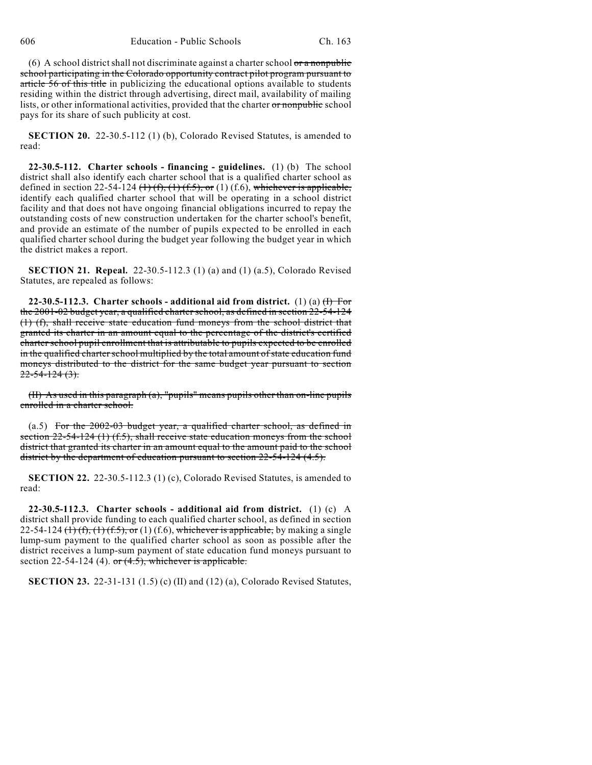(6) A school district shall not discriminate against a charter school  $\sigma r$  a nonpublic school participating in the Colorado opportunity contract pilot program pursuant to article 56 of this title in publicizing the educational options available to students residing within the district through advertising, direct mail, availability of mailing lists, or other informational activities, provided that the charter or nonpublic school pays for its share of such publicity at cost.

**SECTION 20.** 22-30.5-112 (1) (b), Colorado Revised Statutes, is amended to read:

**22-30.5-112. Charter schools - financing - guidelines.** (1) (b) The school district shall also identify each charter school that is a qualified charter school as defined in section 22-54-124  $(\text{1})$   $(\text{f}), (\text{1})$   $(\text{f.5}),$  or (1)  $(\text{f.6}),$  whichever is applicable, identify each qualified charter school that will be operating in a school district facility and that does not have ongoing financial obligations incurred to repay the outstanding costs of new construction undertaken for the charter school's benefit, and provide an estimate of the number of pupils expected to be enrolled in each qualified charter school during the budget year following the budget year in which the district makes a report.

**SECTION 21. Repeal.** 22-30.5-112.3 (1) (a) and (1) (a.5), Colorado Revised Statutes, are repealed as follows:

**22-30.5-112.3.** Charter schools - additional aid from district. (1) (a)  $(\text{H})$  For the 2001-02 budget year, a qualified charter school, as defined in section 22-54-124 (1) (f), shall receive state education fund moneys from the school district that granted its charter in an amount equal to the percentage of the district's certified charter school pupil enrollment that is attributable to pupils expected to be enrolled in the qualified charter school multiplied by the total amount of state education fund moneys distributed to the district for the same budget year pursuant to section  $22 - 54 - 124(3)$ .

(II) As used in this paragraph (a), "pupils" means pupils other than on-line pupils enrolled in a charter school.

(a.5) For the 2002-03 budget year, a qualified charter school, as defined in section  $22-54-124$  (1) (f.5), shall receive state education moneys from the school district that granted its charter in an amount equal to the amount paid to the school district by the department of education pursuant to section 22-54-124 (4.5).

**SECTION 22.** 22-30.5-112.3 (1) (c), Colorado Revised Statutes, is amended to read:

**22-30.5-112.3. Charter schools - additional aid from district.** (1) (c) A district shall provide funding to each qualified charter school, as defined in section 22-54-124  $(1)$   $(f)$ ,  $(1)$   $(f.5)$ , or  $(1)$   $(f.6)$ , whichever is applicable, by making a single lump-sum payment to the qualified charter school as soon as possible after the district receives a lump-sum payment of state education fund moneys pursuant to section 22-54-124 (4). or  $(4.5)$ , whichever is applicable.

**SECTION 23.** 22-31-131 (1.5) (c) (II) and (12) (a), Colorado Revised Statutes,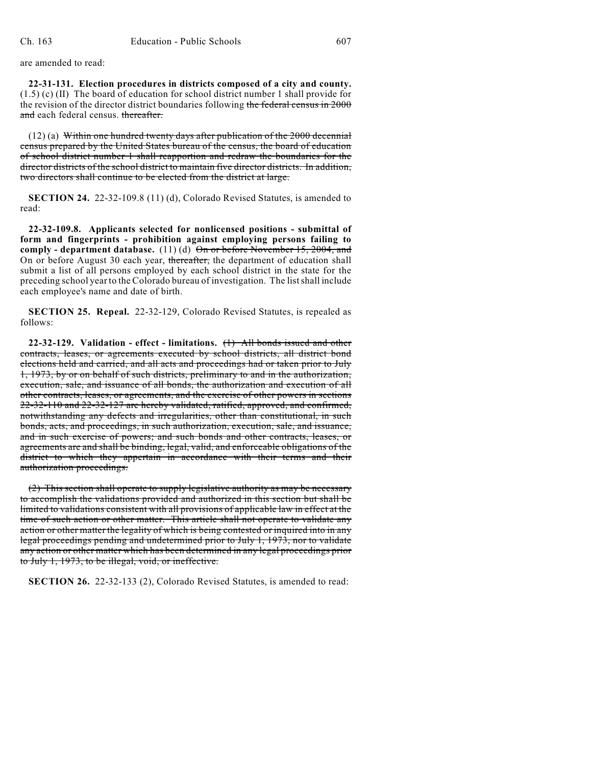are amended to read:

**22-31-131. Election procedures in districts composed of a city and county.** (1.5) (c) (II) The board of education for school district number 1 shall provide for the revision of the director district boundaries following the federal census in 2000 and each federal census. thereafter.

(12) (a) Within one hundred twenty days after publication of the 2000 decennial census prepared by the United States bureau of the census, the board of education of school district number 1 shall reapportion and redraw the boundaries for the director districts of the school district to maintain five director districts. In addition, two directors shall continue to be elected from the district at large.

**SECTION 24.** 22-32-109.8 (11) (d), Colorado Revised Statutes, is amended to read:

**22-32-109.8. Applicants selected for nonlicensed positions - submittal of form and fingerprints - prohibition against employing persons failing to comply - department database.** (11) (d)  $\Theta$ n or before November 15, 2004, and On or before August 30 each year, thereafter, the department of education shall submit a list of all persons employed by each school district in the state for the preceding school year to the Colorado bureau of investigation. The list shall include each employee's name and date of birth.

**SECTION 25. Repeal.** 22-32-129, Colorado Revised Statutes, is repealed as follows:

**22-32-129. Validation - effect - limitations.** (1) All bonds issued and other contracts, leases, or agreements executed by school districts, all district bond elections held and carried, and all acts and proceedings had or taken prior to July 1, 1973, by or on behalf of such districts, preliminary to and in the authorization, execution, sale, and issuance of all bonds, the authorization and execution of all other contracts, leases, or agreements, and the exercise of other powers in sections 22-32-110 and 22-32-127 are hereby validated, ratified, approved, and confirmed, notwithstanding any defects and irregularities, other than constitutional, in such bonds, acts, and proceedings, in such authorization, execution, sale, and issuance, and in such exercise of powers; and such bonds and other contracts, leases, or agreements are and shall be binding, legal, valid, and enforceable obligations of the district to which they appertain in accordance with their terms and their authorization proceedings.

(2) This section shall operate to supply legislative authority as may be necessary to accomplish the validations provided and authorized in this section but shall be limited to validations consistent with all provisions of applicable law in effect at the time of such action or other matter. This article shall not operate to validate any action or other matter the legality of which is being contested or inquired into in any legal proceedings pending and undetermined prior to July 1, 1973, nor to validate any action or other matter which has been determined in any legal proceedings prior to July 1, 1973, to be illegal, void, or ineffective.

**SECTION 26.** 22-32-133 (2), Colorado Revised Statutes, is amended to read: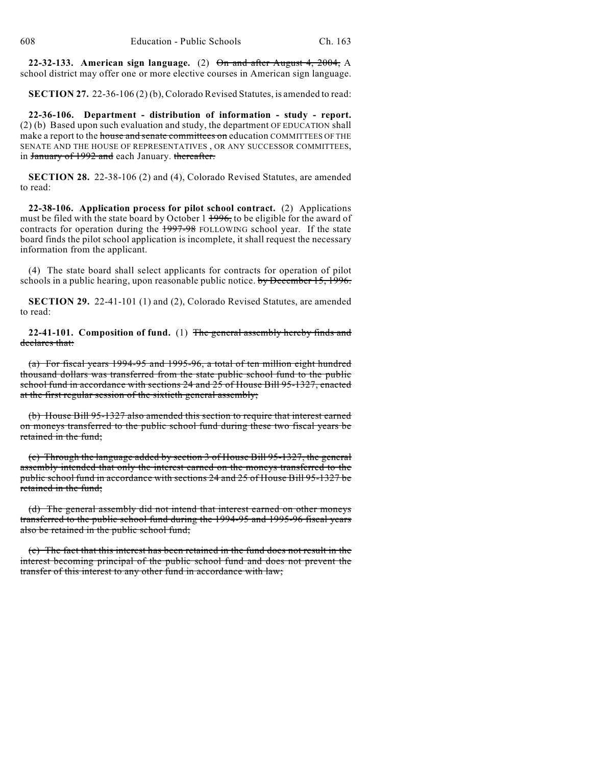**22-32-133. American sign language.** (2) On and after August 4, 2004, A school district may offer one or more elective courses in American sign language.

**SECTION 27.** 22-36-106 (2) (b), Colorado Revised Statutes, is amended to read:

**22-36-106. Department - distribution of information - study - report.** (2) (b) Based upon such evaluation and study, the department OF EDUCATION shall make a report to the house and senate committees on education COMMITTEES OF THE SENATE AND THE HOUSE OF REPRESENTATIVES , OR ANY SUCCESSOR COMMITTEES, in January of 1992 and each January. thereafter.

**SECTION 28.** 22-38-106 (2) and (4), Colorado Revised Statutes, are amended to read:

**22-38-106. Application process for pilot school contract.** (2) Applications must be filed with the state board by October 1 1996, to be eligible for the award of contracts for operation during the 1997-98 FOLLOWING school year. If the state board finds the pilot school application is incomplete, it shall request the necessary information from the applicant.

(4) The state board shall select applicants for contracts for operation of pilot schools in a public hearing, upon reasonable public notice. by December 15, 1996.

**SECTION 29.** 22-41-101 (1) and (2), Colorado Revised Statutes, are amended to read:

**22-41-101. Composition of fund.** (1) The general assembly hereby finds and declares that:

(a) For fiscal years 1994-95 and 1995-96, a total of ten million eight hundred thousand dollars was transferred from the state public school fund to the public school fund in accordance with sections 24 and 25 of House Bill 95-1327, enacted at the first regular session of the sixtieth general assembly;

(b) House Bill 95-1327 also amended this section to require that interest earned on moneys transferred to the public school fund during these two fiscal years be retained in the fund;

(c) Through the language added by section 3 of House Bill 95-1327, the general assembly intended that only the interest earned on the moneys transferred to the public school fund in accordance with sections 24 and 25 of House Bill 95-1327 be retained in the fund;

(d) The general assembly did not intend that interest earned on other moneys transferred to the public school fund during the 1994-95 and 1995-96 fiscal years also be retained in the public school fund;

(e) The fact that this interest has been retained in the fund does not result in the interest becoming principal of the public school fund and does not prevent the transfer of this interest to any other fund in accordance with law;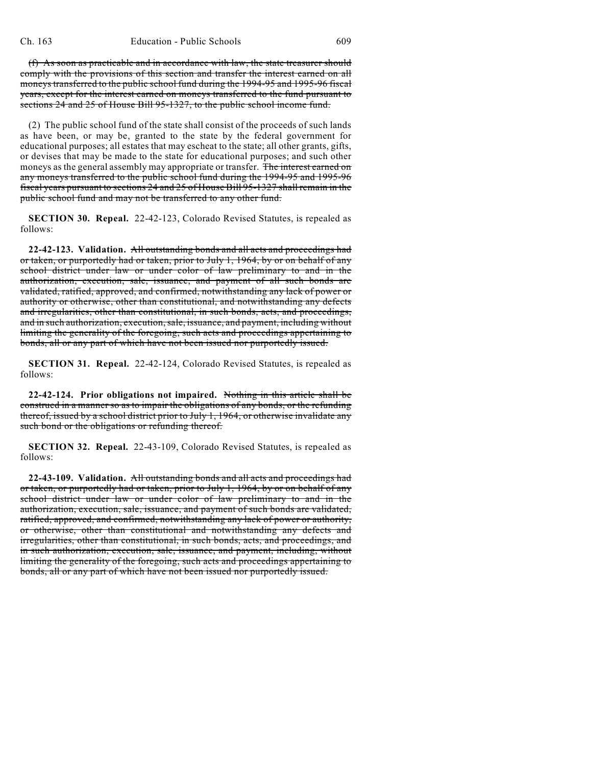(f) As soon as practicable and in accordance with law, the state treasurer should comply with the provisions of this section and transfer the interest earned on all moneys transferred to the public school fund during the 1994-95 and 1995-96 fiscal years, except for the interest earned on moneys transferred to the fund pursuant to sections 24 and 25 of House Bill 95-1327, to the public school income fund.

(2) The public school fund of the state shall consist of the proceeds of such lands as have been, or may be, granted to the state by the federal government for educational purposes; all estates that may escheat to the state; all other grants, gifts, or devises that may be made to the state for educational purposes; and such other moneys as the general assembly may appropriate or transfer. The interest earned on any moneys transferred to the public school fund during the 1994-95 and 1995-96 fiscal years pursuant to sections 24 and 25 of House Bill 95-1327 shall remain in the public school fund and may not be transferred to any other fund.

**SECTION 30. Repeal.** 22-42-123, Colorado Revised Statutes, is repealed as follows:

**22-42-123. Validation.** All outstanding bonds and all acts and proceedings had or taken, or purportedly had or taken, prior to July 1, 1964, by or on behalf of any school district under law or under color of law preliminary to and in the authorization, execution, sale, issuance, and payment of all such bonds are validated, ratified, approved, and confirmed, notwithstanding any lack of power or authority or otherwise, other than constitutional, and notwithstanding any defects and irregularities, other than constitutional, in such bonds, acts, and proceedings, and in such authorization, execution, sale, issuance, and payment, including without limiting the generality of the foregoing, such acts and proceedings appertaining to bonds, all or any part of which have not been issued nor purportedly issued.

**SECTION 31. Repeal.** 22-42-124, Colorado Revised Statutes, is repealed as follows:

**22-42-124. Prior obligations not impaired.** Nothing in this article shall be construed in a manner so as to impair the obligations of any bonds, or the refunding thereof, issued by a school district prior to July 1, 1964, or otherwise invalidate any such bond or the obligations or refunding thereof.

**SECTION 32. Repeal.** 22-43-109, Colorado Revised Statutes, is repealed as follows:

**22-43-109. Validation.** All outstanding bonds and all acts and proceedings had or taken, or purportedly had or taken, prior to July 1, 1964, by or on behalf of any school district under law or under color of law preliminary to and in the authorization, execution, sale, issuance, and payment of such bonds are validated, ratified, approved, and confirmed, notwithstanding any lack of power or authority, or otherwise, other than constitutional and notwithstanding any defects and irregularities, other than constitutional, in such bonds, acts, and proceedings, and in such authorization, execution, sale, issuance, and payment, including, without limiting the generality of the foregoing, such acts and proceedings appertaining to bonds, all or any part of which have not been issued nor purportedly issued.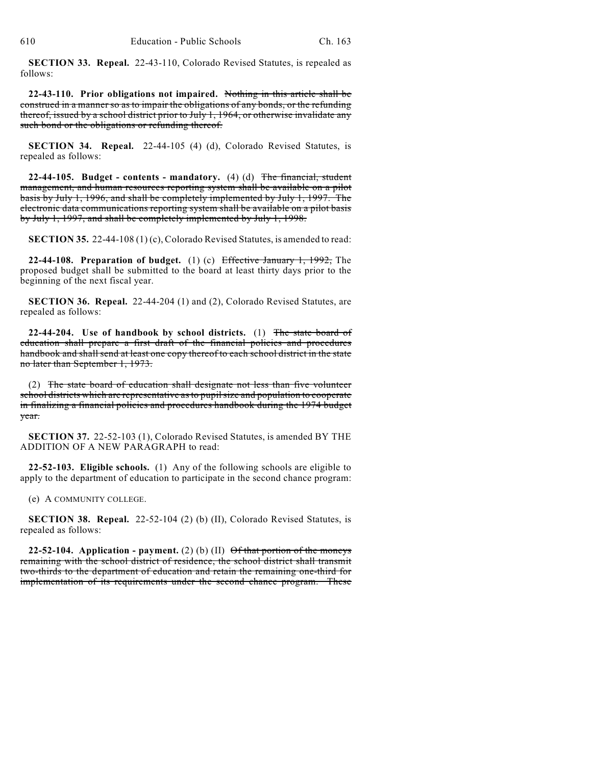**SECTION 33. Repeal.** 22-43-110, Colorado Revised Statutes, is repealed as follows:

**22-43-110. Prior obligations not impaired.** Nothing in this article shall be construed in a manner so as to impair the obligations of any bonds, or the refunding thereof, issued by a school district prior to July 1, 1964, or otherwise invalidate any such bond or the obligations or refunding thereof.

**SECTION 34. Repeal.** 22-44-105 (4) (d), Colorado Revised Statutes, is repealed as follows:

**22-44-105. Budget - contents - mandatory.** (4) (d) The financial, student management, and human resources reporting system shall be available on a pilot basis by July 1, 1996, and shall be completely implemented by July 1, 1997. The electronic data communications reporting system shall be available on a pilot basis by July 1, 1997, and shall be completely implemented by July 1, 1998.

**SECTION 35.** 22-44-108 (1) (c), Colorado Revised Statutes, is amended to read:

**22-44-108. Preparation of budget.** (1) (c) Effective January 1, 1992, The proposed budget shall be submitted to the board at least thirty days prior to the beginning of the next fiscal year.

**SECTION 36. Repeal.** 22-44-204 (1) and (2), Colorado Revised Statutes, are repealed as follows:

**22-44-204. Use of handbook by school districts.** (1) The state board of education shall prepare a first draft of the financial policies and procedures handbook and shall send at least one copy thereof to each school district in the state no later than September 1, 1973.

(2) The state board of education shall designate not less than five volunteer school districts which are representative as to pupil size and population to cooperate in finalizing a financial policies and procedures handbook during the 1974 budget year.

**SECTION 37.** 22-52-103 (1), Colorado Revised Statutes, is amended BY THE ADDITION OF A NEW PARAGRAPH to read:

**22-52-103. Eligible schools.** (1) Any of the following schools are eligible to apply to the department of education to participate in the second chance program:

(e) A COMMUNITY COLLEGE.

**SECTION 38. Repeal.** 22-52-104 (2) (b) (II), Colorado Revised Statutes, is repealed as follows:

**22-52-104.** Application - payment. (2) (b) (II)  $\Theta$ f that portion of the moneys remaining with the school district of residence, the school district shall transmit two-thirds to the department of education and retain the remaining one-third for implementation of its requirements under the second chance program. These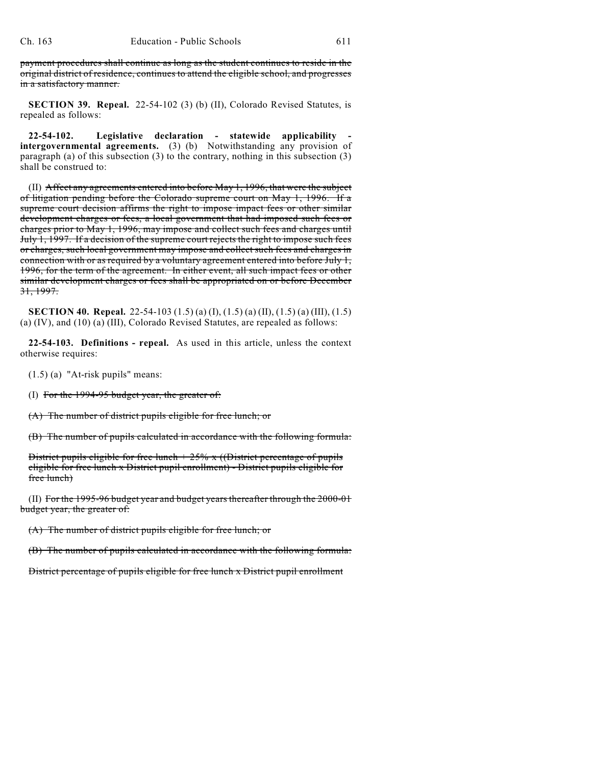payment procedures shall continue as long as the student continues to reside in the original district of residence, continues to attend the eligible school, and progresses in a satisfactory manner.

**SECTION 39. Repeal.** 22-54-102 (3) (b) (II), Colorado Revised Statutes, is repealed as follows:

**22-54-102. Legislative declaration - statewide applicability intergovernmental agreements.** (3) (b) Notwithstanding any provision of paragraph (a) of this subsection (3) to the contrary, nothing in this subsection (3) shall be construed to:

(II) Affect any agreements entered into before May 1, 1996, that were the subject of litigation pending before the Colorado supreme court on May 1, 1996. If a supreme court decision affirms the right to impose impact fees or other similar development charges or fees, a local government that had imposed such fees or charges prior to May 1, 1996, may impose and collect such fees and charges until July 1, 1997. If a decision of the supreme court rejects the right to impose such fees or charges, such local government may impose and collect such fees and charges in connection with or as required by a voluntary agreement entered into before July 1, 1996, for the term of the agreement. In either event, all such impact fees or other similar development charges or fees shall be appropriated on or before December 31, 1997.

**SECTION 40. Repeal.** 22-54-103 (1.5) (a) (I), (1.5) (a) (II), (1.5) (a) (III), (1.5) (a) (IV), and (10) (a) (III), Colorado Revised Statutes, are repealed as follows:

**22-54-103. Definitions - repeal.** As used in this article, unless the context otherwise requires:

(1.5) (a) "At-risk pupils" means:

(I) For the  $1994-95$  budget year, the greater of:

(A) The number of district pupils eligible for free lunch; or

(B) The number of pupils calculated in accordance with the following formula:

District pupils eligible for free lunch  $+ 25\%$  x ((District percentage of pupils eligible for free lunch x District pupil enrollment) - District pupils eligible for free lunch)

(II) For the 1995-96 budget year and budget years thereafter through the 2000-01 budget year, the greater of:

(A) The number of district pupils eligible for free lunch; or

(B) The number of pupils calculated in accordance with the following formula:

District percentage of pupils eligible for free lunch x District pupil enrollment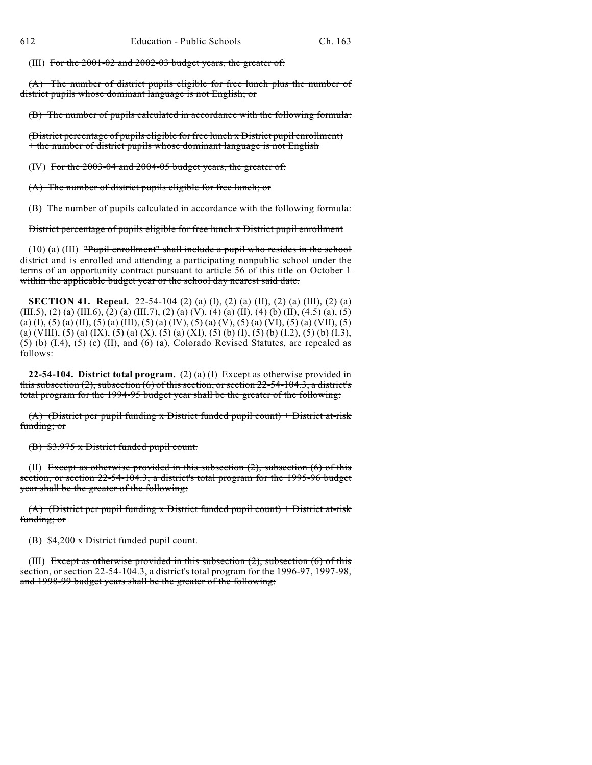(III) For the 2001-02 and 2002-03 budget years, the greater of:

(A) The number of district pupils eligible for free lunch plus the number of district pupils whose dominant language is not English; or

(B) The number of pupils calculated in accordance with the following formula:

(District percentage of pupils eligible for free lunch x District pupil enrollment) + the number of district pupils whose dominant language is not English

(IV) For the 2003-04 and 2004-05 budget years, the greater of:

(A) The number of district pupils eligible for free lunch; or

(B) The number of pupils calculated in accordance with the following formula:

District percentage of pupils eligible for free lunch x District pupil enrollment

(10) (a) (III) "Pupil enrollment" shall include a pupil who resides in the school district and is enrolled and attending a participating nonpublic school under the terms of an opportunity contract pursuant to article 56 of this title on October 1 within the applicable budget year or the school day nearest said date.

**SECTION 41. Repeal.** 22-54-104 (2) (a) (I), (2) (a) (II), (2) (a) (III), (2) (a) (III.5), (2) (a) (III.6), (2) (a) (III.7), (2) (a) (V), (4) (a) (II), (4) (b) (II), (4.5) (a), (5) (a) (I), (5) (a) (II), (5) (a) (III), (5) (a) (IV), (5) (a) (V), (5) (a) (VI), (5) (a) (VII), (5) (a) (VIII), (5) (a) (IX), (5) (a) (X), (5) (a) (XI), (5) (b) (I), (5) (b) (I.2), (5) (b) (I.3), (5) (b) (I.4), (5) (c) (II), and (6) (a), Colorado Revised Statutes, are repealed as follows:

**22-54-104. District total program.** (2) (a) (I) Except as otherwise provided in this subsection  $(2)$ , subsection  $(6)$  of this section, or section 22-54-104.3, a district's total program for the 1994-95 budget year shall be the greater of the following:

(A) (District per pupil funding x District funded pupil count) + District at-risk funding; or

(B) \$3,975 x District funded pupil count.

(II) Except as otherwise provided in this subsection  $(2)$ , subsection  $(6)$  of this section, or section 22-54-104.3, a district's total program for the 1995-96 budget year shall be the greater of the following:

(A) (District per pupil funding x District funded pupil count) + District at-risk funding; or

(B) \$4,200 x District funded pupil count.

(III) Except as otherwise provided in this subsection  $(2)$ , subsection  $(6)$  of this section, or section 22-54-104.3, a district's total program for the 1996-97, 1997-98, and 1998-99 budget years shall be the greater of the following: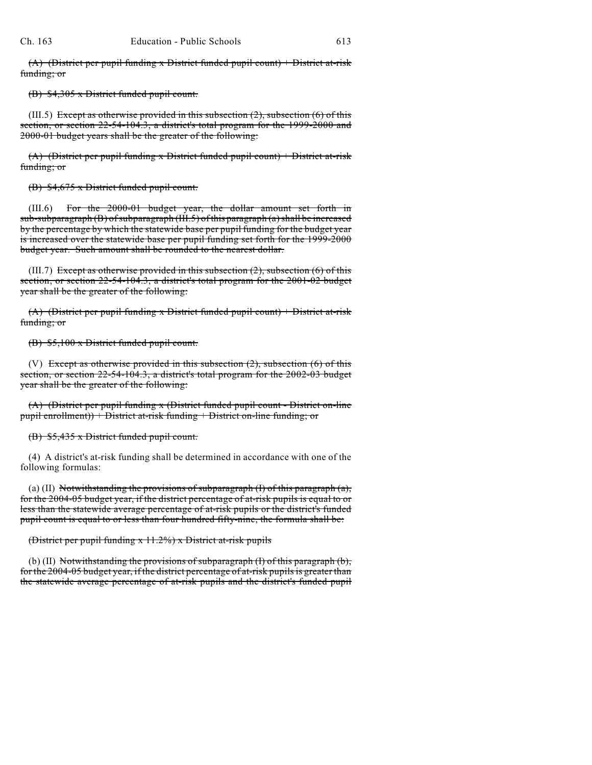$(A)$  (District per pupil funding x District funded pupil count) + District at-risk funding; or

(B) \$4,305 x District funded pupil count.

 $(III.5)$  Except as otherwise provided in this subsection  $(2)$ , subsection  $(6)$  of this section, or section 22-54-104.3, a district's total program for the 1999-2000 and 2000-01 budget years shall be the greater of the following:

(A) (District per pupil funding x District funded pupil count) + District at-risk funding; or

(B) \$4,675 x District funded pupil count.

(III.6) For the 2000-01 budget year, the dollar amount set forth in sub-subparagraph (B) of subparagraph (III.5) of this paragraph (a) shall be increased by the percentage by which the statewide base per pupil funding for the budget year is increased over the statewide base per pupil funding set forth for the 1999-2000 budget year. Such amount shall be rounded to the nearest dollar.

(III.7) Except as otherwise provided in this subsection  $(2)$ , subsection  $(6)$  of this section, or section 22-54-104.3, a district's total program for the 2001-02 budget year shall be the greater of the following:

 $(A)$  (District per pupil funding x District funded pupil count) + District at-risk funding; or

(B) \$5,100 x District funded pupil count.

(V) Except as otherwise provided in this subsection  $(2)$ , subsection  $(6)$  of this section, or section 22-54-104.3, a district's total program for the 2002-03 budget year shall be the greater of the following:

(A) (District per pupil funding x (District funded pupil count - District on-line pupil enrollment)) + District at-risk funding + District on-line funding; or

(B) \$5,435 x District funded pupil count.

(4) A district's at-risk funding shall be determined in accordance with one of the following formulas:

(a) (II) Notwithstanding the provisions of subparagraph  $(I)$  of this paragraph  $(a)$ , for the 2004-05 budget year, if the district percentage of at-risk pupils is equal to or less than the statewide average percentage of at-risk pupils or the district's funded pupil count is equal to or less than four hundred fifty-nine, the formula shall be:

(District per pupil funding x 11.2%) x District at-risk pupils

(b) (II) Notwithstanding the provisions of subparagraph  $(I)$  of this paragraph  $(b)$ , for the 2004-05 budget year, if the district percentage of at-risk pupils is greater than the statewide average percentage of at-risk pupils and the district's funded pupil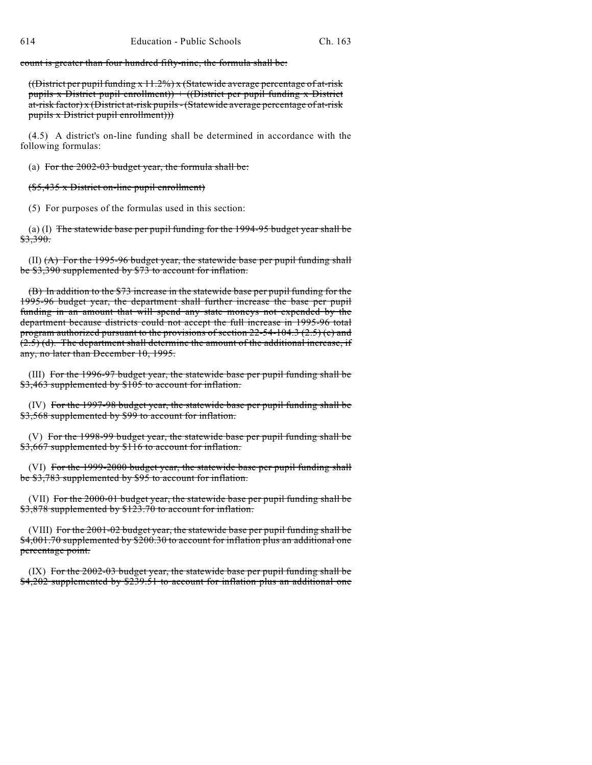count is greater than four hundred fifty-nine, the formula shall be:

((District per pupil funding  $x$  11.2%) x (Statewide average percentage of at-risk pupils x District pupil enrollment)  $+$  ((District per pupil funding x District at-risk factor) x (District at-risk pupils - (Statewide average percentage of at-risk pupils x District pupil enrollment)))

(4.5) A district's on-line funding shall be determined in accordance with the following formulas:

(a) For the  $2002-03$  budget year, the formula shall be:

(\$5,435 x District on-line pupil enrollment)

(5) For purposes of the formulas used in this section:

(a) (I) The statewide base per pupil funding for the 1994-95 budget year shall be \$3,390.

 $(II)$   $(A)$  For the 1995-96 budget year, the statewide base per pupil funding shall be \$3,390 supplemented by \$73 to account for inflation.

(B) In addition to the \$73 increase in the statewide base per pupil funding for the 1995-96 budget year, the department shall further increase the base per pupil funding in an amount that will spend any state moneys not expended by the department because districts could not accept the full increase in 1995-96 total program authorized pursuant to the provisions of section 22-54-104.3 (2.5) (c) and (2.5) (d). The department shall determine the amount of the additional increase, if any, no later than December 10, 1995.

(III) For the 1996-97 budget year, the statewide base per pupil funding shall be \$3,463 supplemented by \$105 to account for inflation.

(IV) For the 1997-98 budget year, the statewide base per pupil funding shall be \$3,568 supplemented by \$99 to account for inflation.

(V) For the 1998-99 budget year, the statewide base per pupil funding shall be \$3,667 supplemented by \$116 to account for inflation.

(VI) For the 1999-2000 budget year, the statewide base per pupil funding shall be \$3,783 supplemented by \$95 to account for inflation.

(VII) For the 2000-01 budget year, the statewide base per pupil funding shall be \$3,878 supplemented by \$123.70 to account for inflation.

(VIII) For the 2001-02 budget year, the statewide base per pupil funding shall be \$4,001.70 supplemented by \$200.30 to account for inflation plus an additional one percentage point.

(IX) For the 2002-03 budget year, the statewide base per pupil funding shall be \$4,202 supplemented by \$239.51 to account for inflation plus an additional one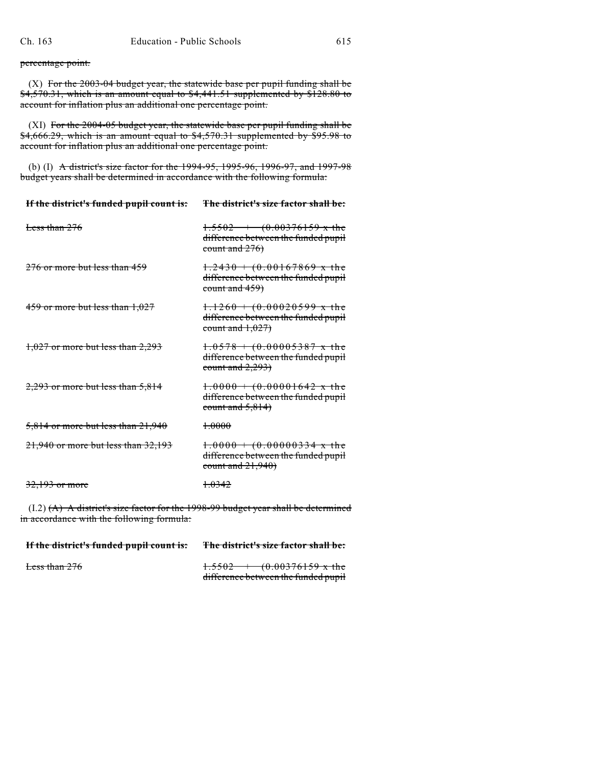percentage point.

 $(X)$  For the 2003-04 budget year, the statewide base per pupil funding shall be  $\frac{1}{54,570.31}$ , which is an amount equal to  $\frac{1}{54,441.51}$  supplemented by \$128.80 to account for inflation plus an additional one percentage point.

(XI) For the 2004-05 budget year, the statewide base per pupil funding shall be  $$4,666.29$ , which is an amount equal to  $$4,570.31$  supplemented by  $$95.98$  to account for inflation plus an additional one percentage point.

(b) (I) A district's size factor for the 1994-95, 1995-96, 1996-97, and 1997-98 budget years shall be determined in accordance with the following formula:

| If the district's funded pupil count is: | The district's size factor shall be:                                                                   |
|------------------------------------------|--------------------------------------------------------------------------------------------------------|
| Less than $276$                          | $1.5502 + (0.00376159 \text{ x the})$<br>difference between the funded pupil<br>count and $276$        |
| $276$ or more but less than $459$        | $1.2430 + (0.00167869 \times the)$<br>difference between the funded pupil<br><del>count and 459)</del> |
| $459$ or more but less than $1,027$      | $1.1260 + (0.00020599 \times the)$<br>difference between the funded pupil<br>count and $1,027$         |
| $1,027$ or more but less than 2,293      | $1.0578 + (0.00005387 \times \text{the}$<br>difference between the funded pupil<br>count and $2,293$   |
| $2,293$ or more but less than 5,814      | $1.0000 + (0.00001642 \times the)$<br>difference between the funded pupil<br>count and $5,814$         |
| $5,814$ or more but less than $21,940$   | <del>1.0000</del>                                                                                      |
| $21,940$ or more but less than $32,193$  | $1.0000 + (0.00000334 \times the)$<br>difference between the funded pupil<br>count and $21,940$        |
| <del>32.193 or more</del>                | <del>1.0342</del>                                                                                      |

(I.2) (A) A district's size factor for the 1998-99 budget year shall be determined in accordance with the following formula:

| If the district's funded pupil count is: | The district's size factor shall be:                                         |
|------------------------------------------|------------------------------------------------------------------------------|
| Less than 276                            | $1.5502 + (0.00376159 \text{ x the})$<br>difference between the funded pupil |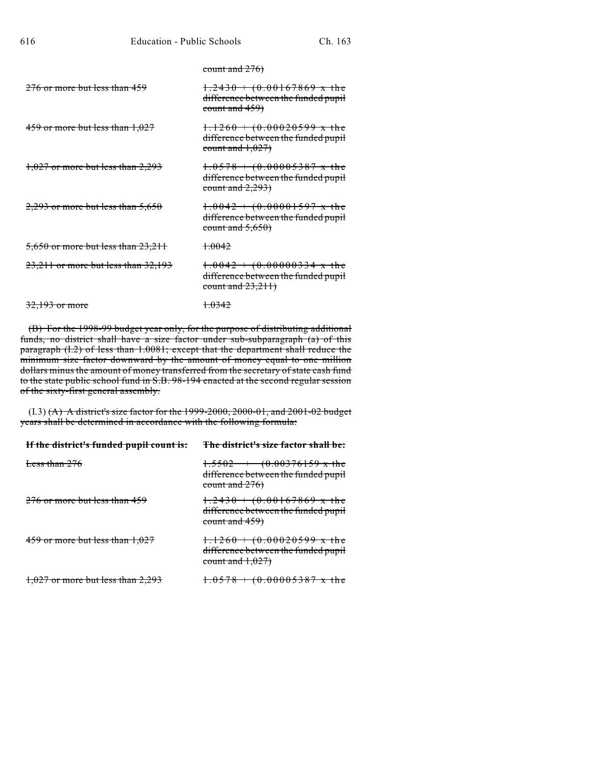| <del>count and 276)</del> |  |  |
|---------------------------|--|--|

| $276$ or more but less than $459$       | $1.2430 + (0.00167869 \times the)$<br>difference between the funded pupil<br>count and 459)          |
|-----------------------------------------|------------------------------------------------------------------------------------------------------|
| $459$ or more but less than $1,027$     | $1.1260 + (0.00020599 \times the)$<br>difference between the funded pupil<br>count and $1,027$       |
| $1,027$ or more but less than 2,293     | $1.0578 + (0.00005387 \times \text{the}$<br>difference between the funded pupil<br>count and $2,293$ |
| $2,293$ or more but less than 5,650     | $1.0042 + (0.00001597 \times \text{the}$<br>difference between the funded pupil<br>count and $5,650$ |
| 5,650 or more but less than 23,211      | <del>1.0042</del>                                                                                    |
| $23,211$ or more but less than $32,193$ | $1.0042 + (0.00000334 \times the)$<br>difference between the funded pupil<br>count and $23,211$      |
| 32,193 or more                          | <del>1.0342</del>                                                                                    |

(B) For the 1998-99 budget year only, for the purpose of distributing additional funds, no district shall have a size factor under sub-subparagraph (a) of this paragraph (I.2) of less than 1.0081; except that the department shall reduce the minimum size factor downward by the amount of money equal to one million dollars minus the amount of money transferred from the secretary of state cash fund to the state public school fund in S.B. 98-194 enacted at the second regular session of the sixty-first general assembly.

(I.3) (A) A district's size factor for the 1999-2000, 2000-01, and 2001-02 budget years shall be determined in accordance with the following formula:

| If the district's funded pupil count is: | The district's size factor shall be:                                                                 |
|------------------------------------------|------------------------------------------------------------------------------------------------------|
| Less than 276                            | $1.5502 + (0.00376159 \text{ x the})$<br>difference between the funded pupil<br>count and $276$      |
| $276$ or more but less than 459          | $1.2430 + (0.00167869 \times \text{the}$<br>difference between the funded pupil<br>count and $459$ ) |
| $459$ or more but less than $1,027$      | $1.1260 + (0.00020599 \text{ x the})$<br>difference between the funded pupil<br>count and $1,027$    |
| $1,027$ or more but less than $2,293$    | $1.0578 + (0.00005387 \times \text{the}$                                                             |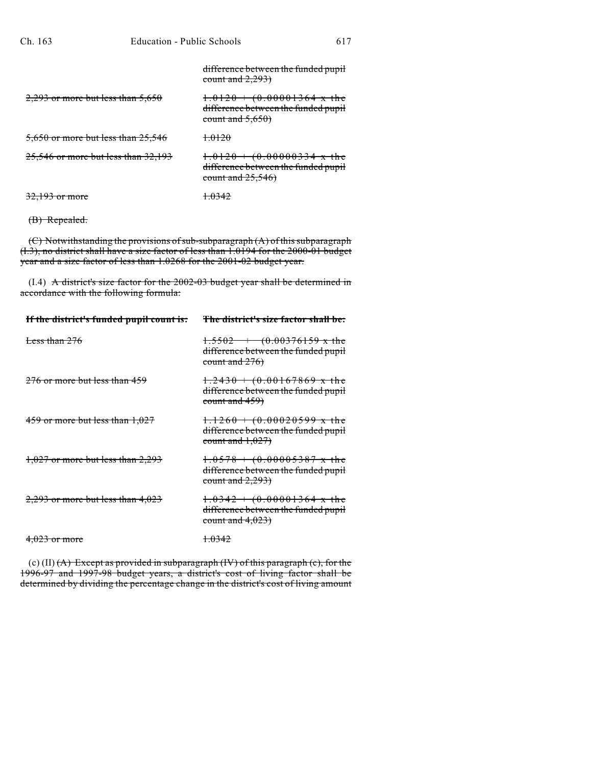|                                     | difference between the funded pupil<br>count and $2,293$                                        |
|-------------------------------------|-------------------------------------------------------------------------------------------------|
| $2,293$ or more but less than 5,650 | $1.0120 + (0.00001364 \times the)$<br>difference between the funded pupil<br>count and $5,650$  |
| 5,650 or more but less than 25,546  | +0120                                                                                           |
| 25,546 or more but less than 32,193 | $1.0120 + (0.00000334 \times the)$<br>difference between the funded pupil<br>count and $25,546$ |
| 32.193 or more                      | <del>1.0342</del>                                                                               |

```
(B) Repealed.
```
(C) Notwithstanding the provisions of sub-subparagraph (A) of this subparagraph (I.3), no district shall have a size factor of less than 1.0194 for the 2000-01 budget year and a size factor of less than 1.0268 for the 2001-02 budget year.

(I.4) A district's size factor for the 2002-03 budget year shall be determined in accordance with the following formula:

| If the district's funded pupil count is: | The district's size factor shall be:                                                                 |
|------------------------------------------|------------------------------------------------------------------------------------------------------|
| Less than $276$                          | $1.5502 + (0.00376159 \text{ x the})$<br>difference between the funded pupil<br>count and $276$      |
| $276$ or more but less than $459$        | $1.2430 + (0.00167869 \times the)$<br>difference between the funded pupil<br>count and $459$ )       |
| $459$ or more but less than $1,027$      | $1.1260 + (0.00020599 \times the)$<br>difference between the funded pupil<br>count and $1,027$       |
| $1,027$ or more but less than 2,293      | $1.0578 + (0.00005387 \times \text{the}$<br>difference between the funded pupil<br>count and $2,293$ |
| $2,293$ or more but less than $4,023$    | $1.0342 + (0.00001364 \times the)$<br>difference between the funded pupil<br>count and $4,023$       |
| $4,023$ or more                          | <del>1.0342</del>                                                                                    |

(c) (II) (A) Except as provided in subparagraph (IV) of this paragraph (c), for the 1996-97 and 1997-98 budget years, a district's cost of living factor shall be determined by dividing the percentage change in the district's cost of living amount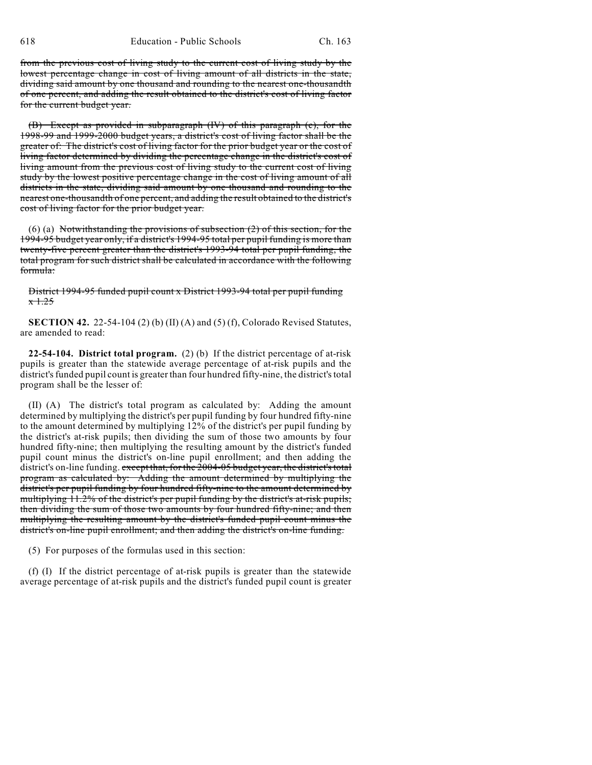from the previous cost of living study to the current cost of living study by the lowest percentage change in cost of living amount of all districts in the state, dividing said amount by one thousand and rounding to the nearest one-thousandth of one percent, and adding the result obtained to the district's cost of living factor for the current budget year.

(B) Except as provided in subparagraph (IV) of this paragraph (c), for the 1998-99 and 1999-2000 budget years, a district's cost of living factor shall be the greater of: The district's cost of living factor for the prior budget year or the cost of living factor determined by dividing the percentage change in the district's cost of living amount from the previous cost of living study to the current cost of living study by the lowest positive percentage change in the cost of living amount of all districts in the state, dividing said amount by one thousand and rounding to the nearest one-thousandth of one percent, and adding the result obtained to the district's cost of living factor for the prior budget year.

(6) (a) Notwithstanding the provisions of subsection (2) of this section, for the 1994-95 budget year only, if a district's 1994-95 total per pupil funding is more than twenty-five percent greater than the district's 1993-94 total per pupil funding, the total program for such district shall be calculated in accordance with the following formula:

District 1994-95 funded pupil count x District 1993-94 total per pupil funding  $x + 25$ 

**SECTION 42.** 22-54-104 (2) (b) (II) (A) and (5) (f), Colorado Revised Statutes, are amended to read:

**22-54-104. District total program.** (2) (b) If the district percentage of at-risk pupils is greater than the statewide average percentage of at-risk pupils and the district's funded pupil count is greater than four hundred fifty-nine, the district's total program shall be the lesser of:

(II) (A) The district's total program as calculated by: Adding the amount determined by multiplying the district's per pupil funding by four hundred fifty-nine to the amount determined by multiplying 12% of the district's per pupil funding by the district's at-risk pupils; then dividing the sum of those two amounts by four hundred fifty-nine; then multiplying the resulting amount by the district's funded pupil count minus the district's on-line pupil enrollment; and then adding the district's on-line funding. except that, for the 2004-05 budget year, the district's total program as calculated by: Adding the amount determined by multiplying the district's per pupil funding by four hundred fifty-nine to the amount determined by multiplying 11.2% of the district's per pupil funding by the district's at-risk pupils; then dividing the sum of those two amounts by four hundred fifty-nine; and then multiplying the resulting amount by the district's funded pupil count minus the district's on-line pupil enrollment; and then adding the district's on-line funding.

(5) For purposes of the formulas used in this section:

(f) (I) If the district percentage of at-risk pupils is greater than the statewide average percentage of at-risk pupils and the district's funded pupil count is greater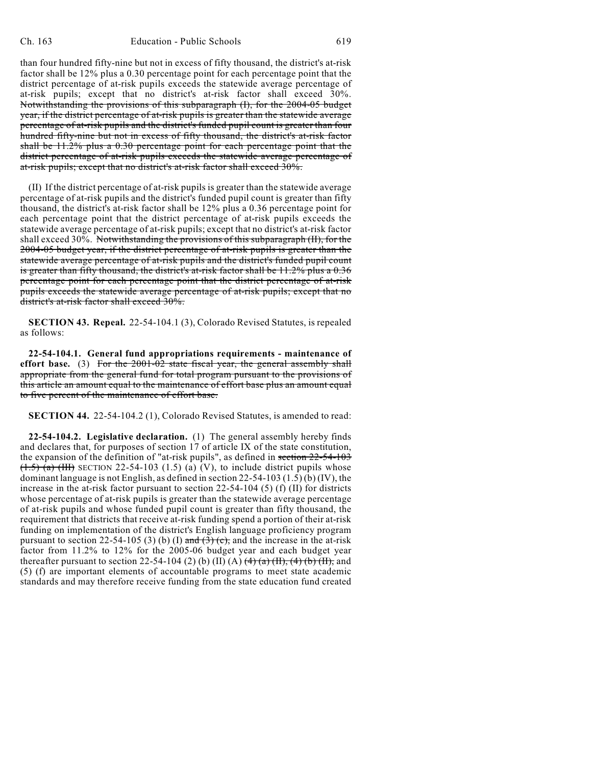than four hundred fifty-nine but not in excess of fifty thousand, the district's at-risk factor shall be 12% plus a 0.30 percentage point for each percentage point that the district percentage of at-risk pupils exceeds the statewide average percentage of at-risk pupils; except that no district's at-risk factor shall exceed 30%. Notwithstanding the provisions of this subparagraph (I), for the 2004-05 budget year, if the district percentage of at-risk pupils is greater than the statewide average percentage of at-risk pupils and the district's funded pupil count is greater than four hundred fifty-nine but not in excess of fifty thousand, the district's at-risk factor shall be 11.2% plus a 0.30 percentage point for each percentage point that the district percentage of at-risk pupils exceeds the statewide average percentage of at-risk pupils; except that no district's at-risk factor shall exceed 30%.

(II) If the district percentage of at-risk pupils is greater than the statewide average percentage of at-risk pupils and the district's funded pupil count is greater than fifty thousand, the district's at-risk factor shall be 12% plus a 0.36 percentage point for each percentage point that the district percentage of at-risk pupils exceeds the statewide average percentage of at-risk pupils; except that no district's at-risk factor shall exceed 30%. Notwithstanding the provisions of this subparagraph (II), for the 2004-05 budget year, if the district percentage of at-risk pupils is greater than the statewide average percentage of at-risk pupils and the district's funded pupil count is greater than fifty thousand, the district's at-risk factor shall be 11.2% plus a 0.36 percentage point for each percentage point that the district percentage of at-risk pupils exceeds the statewide average percentage of at-risk pupils; except that no district's at-risk factor shall exceed 30%.

**SECTION 43. Repeal.** 22-54-104.1 (3), Colorado Revised Statutes, is repealed as follows:

**22-54-104.1. General fund appropriations requirements - maintenance of effort base.** (3) For the 2001-02 state fiscal year, the general assembly shall appropriate from the general fund for total program pursuant to the provisions of this article an amount equal to the maintenance of effort base plus an amount equal to five percent of the maintenance of effort base.

**SECTION 44.** 22-54-104.2 (1), Colorado Revised Statutes, is amended to read:

**22-54-104.2. Legislative declaration.** (1) The general assembly hereby finds and declares that, for purposes of section 17 of article IX of the state constitution, the expansion of the definition of "at-risk pupils", as defined in section 22-54-103  $(1.5)$  (a) (HI) SECTION 22-54-103 (1.5) (a) (V), to include district pupils whose dominant language is not English, as defined in section 22-54-103 (1.5) (b) (IV), the increase in the at-risk factor pursuant to section 22-54-104 (5) (f) (II) for districts whose percentage of at-risk pupils is greater than the statewide average percentage of at-risk pupils and whose funded pupil count is greater than fifty thousand, the requirement that districts that receive at-risk funding spend a portion of their at-risk funding on implementation of the district's English language proficiency program pursuant to section 22-54-105 (3) (b) (I) and  $(3)$  (c), and the increase in the at-risk factor from 11.2% to 12% for the 2005-06 budget year and each budget year thereafter pursuant to section 22-54-104 (2) (b) (II) (A)  $\frac{4}{2}$  (a)  $\frac{4}{11}$ ,  $\frac{4}{6}$  (b)  $\frac{11}{11}$ , and (5) (f) are important elements of accountable programs to meet state academic standards and may therefore receive funding from the state education fund created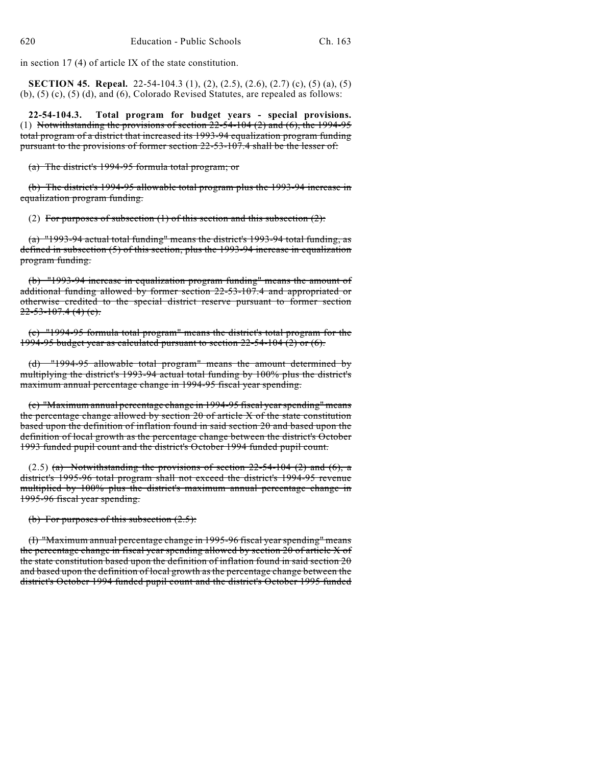in section 17 (4) of article IX of the state constitution.

**SECTION 45. Repeal.** 22-54-104.3 (1), (2), (2.5), (2.6), (2.7) (c), (5) (a), (5) (b), (5) (c), (5) (d), and (6), Colorado Revised Statutes, are repealed as follows:

**22-54-104.3. Total program for budget years - special provisions.** (1) Notwithstanding the provisions of section  $22-54-104(2)$  and  $(6)$ , the 1994-95 total program of a district that increased its 1993-94 equalization program funding pursuant to the provisions of former section 22-53-107.4 shall be the lesser of:

(a) The district's 1994-95 formula total program; or

(b) The district's 1994-95 allowable total program plus the 1993-94 increase in equalization program funding.

(2) For purposes of subsection  $(1)$  of this section and this subsection  $(2)$ :

(a) "1993-94 actual total funding" means the district's 1993-94 total funding, as defined in subsection (5) of this section, plus the 1993-94 increase in equalization program funding.

(b) "1993-94 increase in equalization program funding" means the amount of additional funding allowed by former section 22-53-107.4 and appropriated or otherwise credited to the special district reserve pursuant to former section  $22 - 53 - 107.4$  (4) (c).

(c) "1994-95 formula total program" means the district's total program for the 1994-95 budget year as calculated pursuant to section 22-54-104 (2) or (6).

(d) "1994-95 allowable total program" means the amount determined by multiplying the district's 1993-94 actual total funding by 100% plus the district's maximum annual percentage change in 1994-95 fiscal year spending.

(e) "Maximum annual percentage change in 1994-95 fiscal year spending" means the percentage change allowed by section 20 of article X of the state constitution based upon the definition of inflation found in said section 20 and based upon the definition of local growth as the percentage change between the district's October 1993 funded pupil count and the district's October 1994 funded pupil count.

(2.5) (a) Notwithstanding the provisions of section  $22-54-104$  (2) and (6), a district's 1995-96 total program shall not exceed the district's 1994-95 revenue multiplied by 100% plus the district's maximum annual percentage change in 1995-96 fiscal year spending.

(b) For purposes of this subsection  $(2.5)$ :

(I) "Maximum annual percentage change in 1995-96 fiscal year spending" means the percentage change in fiscal year spending allowed by section 20 of article X of the state constitution based upon the definition of inflation found in said section 20 and based upon the definition of local growth asthe percentage change between the district's October 1994 funded pupil count and the district's October 1995 funded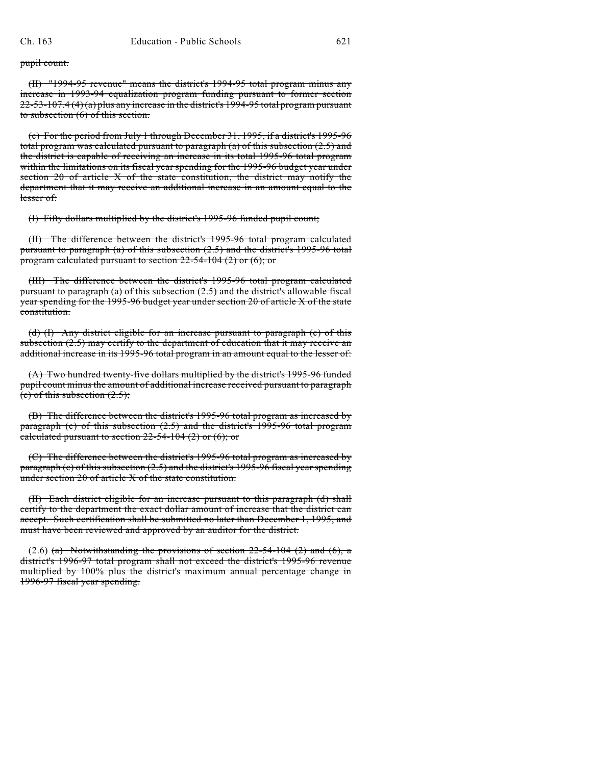pupil count.

(II) "1994-95 revenue" means the district's 1994-95 total program minus any increase in 1993-94 equalization program funding pursuant to former section  $22-53-107.4$  (4) (a) plus any increase in the district's 1994-95 total program pursuant to subsection (6) of this section.

(c) For the period from July 1 through December 31, 1995, if a district's 1995-96 total program was calculated pursuant to paragraph (a) of this subsection (2.5) and the district is capable of receiving an increase in its total 1995-96 total program within the limitations on its fiscal year spending for the 1995-96 budget year under section 20 of article X of the state constitution, the district may notify the department that it may receive an additional increase in an amount equal to the lesser of:

(I) Fifty dollars multiplied by the district's 1995-96 funded pupil count;

(II) The difference between the district's 1995-96 total program calculated pursuant to paragraph (a) of this subsection (2.5) and the district's 1995-96 total program calculated pursuant to section 22-54-104 (2) or (6); or

(III) The difference between the district's 1995-96 total program calculated pursuant to paragraph (a) of this subsection (2.5) and the district's allowable fiscal year spending for the 1995-96 budget year under section 20 of article X of the state constitution.

(d) (I) Any district eligible for an increase pursuant to paragraph (c) of this subsection (2.5) may certify to the department of education that it may receive an additional increase in its 1995-96 total program in an amount equal to the lesser of:

(A) Two hundred twenty-five dollars multiplied by the district's 1995-96 funded pupil count minus the amount of additional increase received pursuant to paragraph (c) of this subsection  $(2.5)$ ;

(B) The difference between the district's 1995-96 total program as increased by paragraph (c) of this subsection (2.5) and the district's 1995-96 total program calculated pursuant to section  $22-54-104$  (2) or (6); or

(C) The difference between the district's 1995-96 total program as increased by paragraph  $(c)$  of this subsection  $(2.5)$  and the district's 1995-96 fiscal year spending under section 20 of article X of the state constitution.

(II) Each district eligible for an increase pursuant to this paragraph (d) shall certify to the department the exact dollar amount of increase that the district can accept. Such certification shall be submitted no later than December 1, 1995, and must have been reviewed and approved by an auditor for the district.

 $(2.6)$  (a) Notwithstanding the provisions of section 22-54-104 (2) and (6), a district's 1996-97 total program shall not exceed the district's 1995-96 revenue multiplied by 100% plus the district's maximum annual percentage change in 1996-97 fiscal year spending.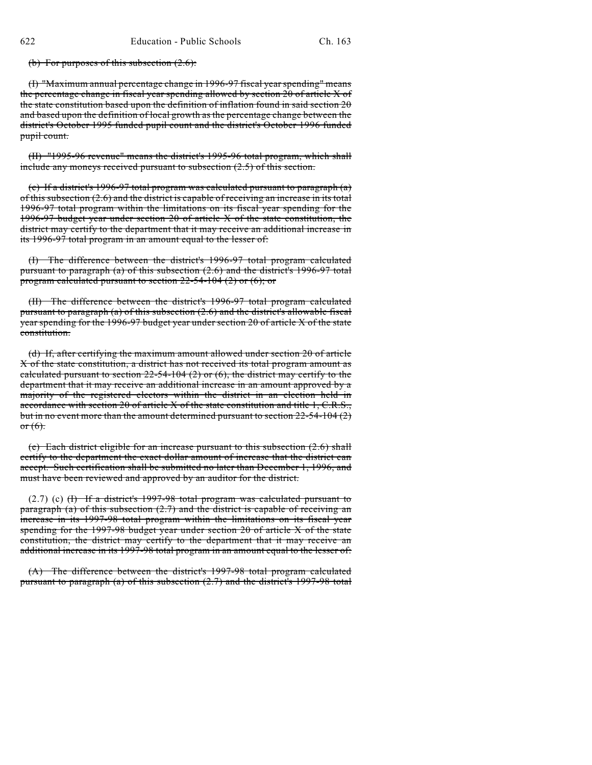(b) For purposes of this subsection  $(2.6)$ :

(I) "Maximum annual percentage change in 1996-97 fiscal year spending" means the percentage change in fiscal year spending allowed by section 20 of article X of the state constitution based upon the definition of inflation found in said section 20 and based upon the definition of local growth as the percentage change between the district's October 1995 funded pupil count and the district's October 1996 funded pupil count.

(II) "1995-96 revenue" means the district's 1995-96 total program, which shall include any moneys received pursuant to subsection (2.5) of this section.

(c) If a district's 1996-97 total program was calculated pursuant to paragraph  $(a)$ of this subsection (2.6) and the district is capable of receiving an increase in its total 1996-97 total program within the limitations on its fiscal year spending for the 1996-97 budget year under section 20 of article X of the state constitution, the district may certify to the department that it may receive an additional increase in its 1996-97 total program in an amount equal to the lesser of:

(I) The difference between the district's 1996-97 total program calculated pursuant to paragraph (a) of this subsection (2.6) and the district's 1996-97 total program calculated pursuant to section  $22-54-104$  (2) or (6); or

(II) The difference between the district's 1996-97 total program calculated pursuant to paragraph (a) of this subsection (2.6) and the district's allowable fiscal year spending for the 1996-97 budget year under section 20 of article X of the state constitution.

(d) If, after certifying the maximum amount allowed under section 20 of article X of the state constitution, a district has not received its total program amount as calculated pursuant to section  $22-54-104(2)$  or  $(6)$ , the district may certify to the department that it may receive an additional increase in an amount approved by a majority of the registered electors within the district in an election held in accordance with section 20 of article X of the state constitution and title 1, C.R.S., but in no event more than the amount determined pursuant to section 22-54-104 (2) or  $(6)$ .

(e) Each district eligible for an increase pursuant to this subsection (2.6) shall certify to the department the exact dollar amount of increase that the district can accept. Such certification shall be submitted no later than December 1, 1996, and must have been reviewed and approved by an auditor for the district.

(2.7) (c) (I) If a district's 1997-98 total program was calculated pursuant to paragraph (a) of this subsection (2.7) and the district is capable of receiving an increase in its 1997-98 total program within the limitations on its fiscal year spending for the 1997-98 budget year under section 20 of article X of the state constitution, the district may certify to the department that it may receive an additional increase in its 1997-98 total program in an amount equal to the lesser of:

(A) The difference between the district's 1997-98 total program calculated pursuant to paragraph (a) of this subsection (2.7) and the district's 1997-98 total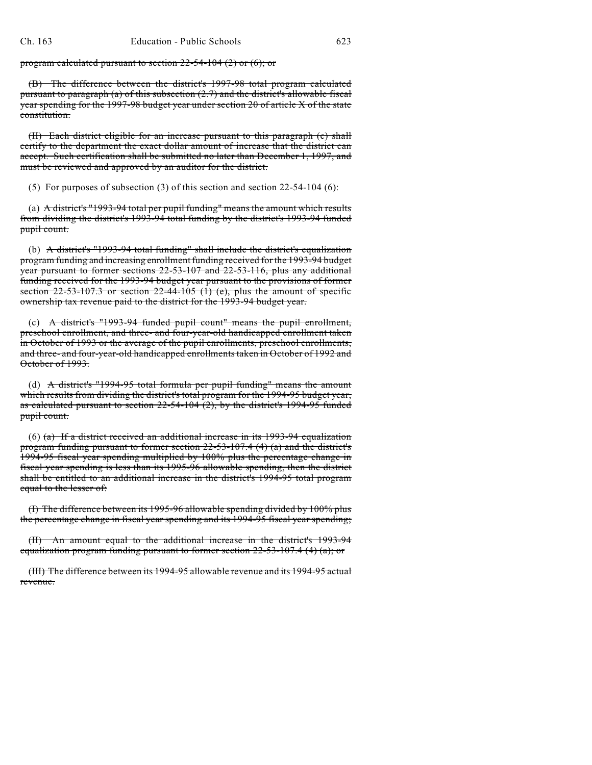program calculated pursuant to section  $22-54-104$  (2) or (6); or

(B) The difference between the district's 1997-98 total program calculated pursuant to paragraph (a) of this subsection (2.7) and the district's allowable fiscal year spending for the 1997-98 budget year under section 20 of article X of the state constitution.

(II) Each district eligible for an increase pursuant to this paragraph (c) shall certify to the department the exact dollar amount of increase that the district can accept. Such certification shall be submitted no later than December 1, 1997, and must be reviewed and approved by an auditor for the district.

(5) For purposes of subsection (3) of this section and section 22-54-104 (6):

(a) A district's "1993-94 total per pupil funding" means the amount which results from dividing the district's 1993-94 total funding by the district's 1993-94 funded pupil count.

(b) A district's "1993-94 total funding" shall include the district's equalization program funding and increasing enrollment funding received for the 1993-94 budget year pursuant to former sections 22-53-107 and 22-53-116, plus any additional funding received for the 1993-94 budget year pursuant to the provisions of former section  $22-53-107.3$  or section  $22-44-105$  (1) (e), plus the amount of specific ownership tax revenue paid to the district for the 1993-94 budget year.

(c) A district's "1993-94 funded pupil count" means the pupil enrollment, preschool enrollment, and three- and four-year-old handicapped enrollment taken in October of 1993 or the average of the pupil enrollments, preschool enrollments, and three- and four-year-old handicapped enrollments taken in October of 1992 and October of 1993.

(d) A district's "1994-95 total formula per pupil funding" means the amount which results from dividing the district's total program for the 1994-95 budget year, as calculated pursuant to section 22-54-104 (2), by the district's 1994-95 funded pupil count.

(6)  $(a)$  If a district received an additional increase in its 1993-94 equalization program funding pursuant to former section 22-53-107.4 (4) (a) and the district's 1994-95 fiscal year spending multiplied by 100% plus the percentage change in fiscal year spending is less than its 1995-96 allowable spending, then the district shall be entitled to an additional increase in the district's 1994-95 total program equal to the lesser of:

(I) The difference between its 1995-96 allowable spending divided by 100% plus the percentage change in fiscal year spending and its 1994-95 fiscal year spending;

(II) An amount equal to the additional increase in the district's 1993-94 equalization program funding pursuant to former section  $22-53-107.4$  (4) (a); or

(III) The difference between its 1994-95 allowable revenue and its 1994-95 actual revenue.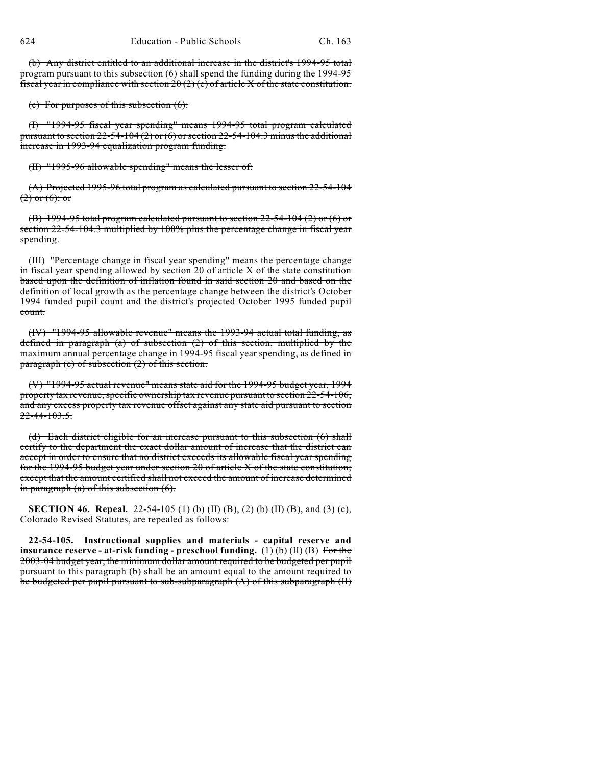(b) Any district entitled to an additional increase in the district's 1994-95 total program pursuant to this subsection (6) shall spend the funding during the 1994-95 fiscal year in compliance with section  $20(2)(e)$  of article X of the state constitution.

(c) For purposes of this subsection (6):

(I) "1994-95 fiscal year spending" means 1994-95 total program calculated pursuant to section  $22-54-104(2)$  or  $(6)$  or section  $22-54-104.3$  minus the additional increase in 1993-94 equalization program funding.

(II) "1995-96 allowable spending" means the lesser of:

(A) Projected 1995-96 total program as calculated pursuant to section 22-54-104  $(2)$  or  $(6)$ ; or

(B) 1994-95 total program calculated pursuant to section  $22-54-104$  (2) or (6) or section 22-54-104.3 multiplied by 100% plus the percentage change in fiscal year spending.

(III) "Percentage change in fiscal year spending" means the percentage change in fiscal year spending allowed by section 20 of article X of the state constitution based upon the definition of inflation found in said section 20 and based on the definition of local growth as the percentage change between the district's October 1994 funded pupil count and the district's projected October 1995 funded pupil count.

(IV) "1994-95 allowable revenue" means the 1993-94 actual total funding, as defined in paragraph (a) of subsection (2) of this section, multiplied by the maximum annual percentage change in 1994-95 fiscal year spending, as defined in paragraph (e) of subsection (2) of this section.

(V) "1994-95 actual revenue" means state aid for the 1994-95 budget year, 1994 property tax revenue, specific ownership tax revenue pursuant to section 22-54-106, and any excess property tax revenue offset against any state aid pursuant to section 22-44-103.5.

(d) Each district eligible for an increase pursuant to this subsection (6) shall certify to the department the exact dollar amount of increase that the district can accept in order to ensure that no district exceeds its allowable fiscal year spending for the 1994-95 budget year under section 20 of article X of the state constitution; except that the amount certified shall not exceed the amount of increase determined in paragraph (a) of this subsection  $(6)$ .

**SECTION 46. Repeal.** 22-54-105 (1) (b) (II) (B), (2) (b) (II) (B), and (3) (c), Colorado Revised Statutes, are repealed as follows:

**22-54-105. Instructional supplies and materials - capital reserve and insurance reserve - at-risk funding - preschool funding.** (1) (b) (II) (B) For the 2003-04 budget year, the minimum dollar amount required to be budgeted per pupil pursuant to this paragraph (b) shall be an amount equal to the amount required to be budgeted per pupil pursuant to sub-subparagraph (A) of this subparagraph (II)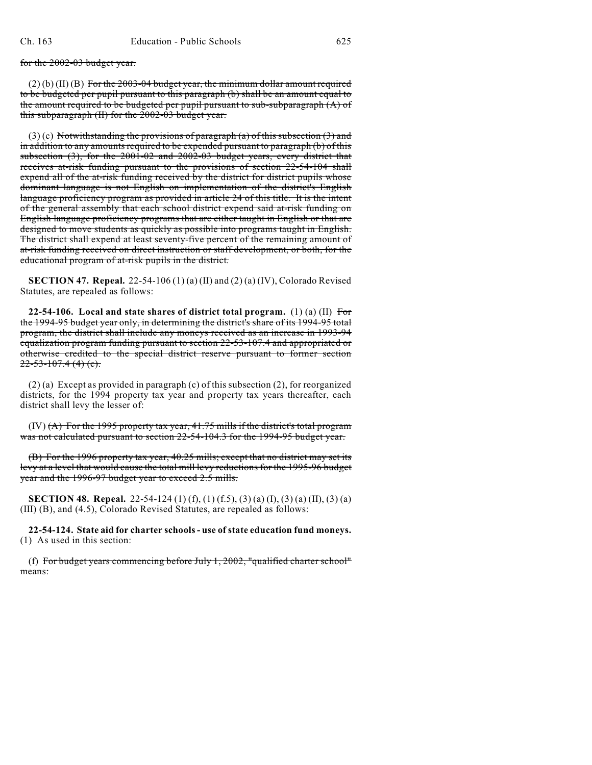for the 2002-03 budget year.

 $(2)$  (b) (II) (B) For the 2003-04 budget year, the minimum dollar amount required to be budgeted per pupil pursuant to this paragraph (b) shall be an amount equal to the amount required to be budgeted per pupil pursuant to sub-subparagraph  $(A)$  of this subparagraph (II) for the 2002-03 budget year.

 $(3)$  (c) Notwithstanding the provisions of paragraph (a) of this subsection (3) and in addition to any amounts required to be expended pursuant to paragraph (b) of this subsection (3), for the 2001-02 and 2002-03 budget years, every district that receives at-risk funding pursuant to the provisions of section 22-54-104 shall expend all of the at-risk funding received by the district for district pupils whose dominant language is not English on implementation of the district's English language proficiency program as provided in article 24 of this title. It is the intent of the general assembly that each school district expend said at-risk funding on English language proficiency programs that are either taught in English or that are designed to move students as quickly as possible into programs taught in English. The district shall expend at least seventy-five percent of the remaining amount of at-risk funding received on direct instruction or staff development, or both, for the educational program of at-risk pupils in the district.

**SECTION 47. Repeal.** 22-54-106 (1) (a) (II) and (2) (a) (IV), Colorado Revised Statutes, are repealed as follows:

**22-54-106. Local and state shares of district total program.** (1) (a) (II) For the 1994-95 budget year only, in determining the district's share of its 1994-95 total program, the district shall include any moneys received as an increase in 1993-94 equalization program funding pursuant to section 22-53-107.4 and appropriated or otherwise credited to the special district reserve pursuant to former section  $22 - 53 - 107.4$  (4) (c).

(2) (a) Except as provided in paragraph (c) of this subsection (2), for reorganized districts, for the 1994 property tax year and property tax years thereafter, each district shall levy the lesser of:

 $(IV)$   $(A)$  For the 1995 property tax year, 41.75 mills if the district's total program was not calculated pursuant to section 22-54-104.3 for the 1994-95 budget year.

(B) For the 1996 property tax year, 40.25 mills; except that no district may set its levy at a level that would cause the total mill levy reductions for the 1995-96 budget year and the 1996-97 budget year to exceed 2.5 mills.

**SECTION 48. Repeal.** 22-54-124 (1) (f), (1) (f.5), (3) (a) (I), (3) (a) (II), (3) (a) (III) (B), and (4.5), Colorado Revised Statutes, are repealed as follows:

**22-54-124. State aid for charter schools - use of state education fund moneys.** (1) As used in this section:

(f) For budget years commencing before July 1, 2002, "qualified charter school" means: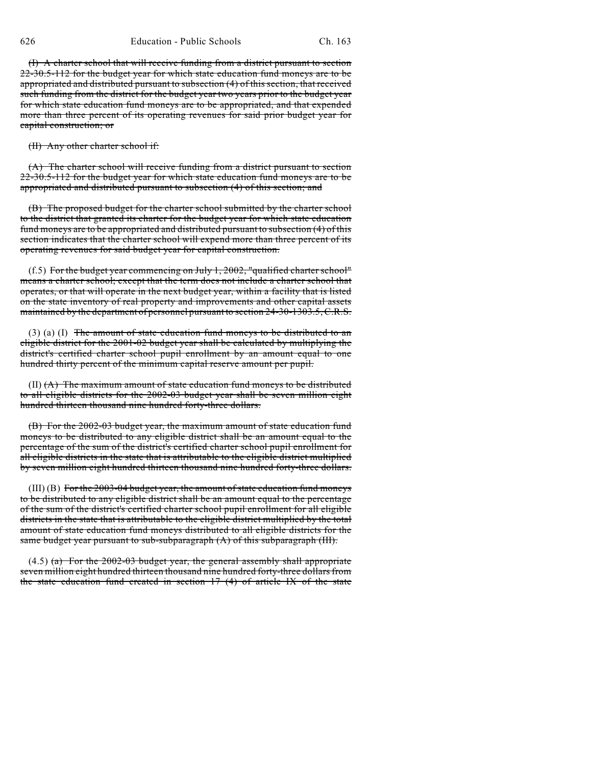(I) A charter school that will receive funding from a district pursuant to section 22-30.5-112 for the budget year for which state education fund moneys are to be appropriated and distributed pursuant to subsection (4) of this section, that received such funding from the district for the budget year two years prior to the budget year for which state education fund moneys are to be appropriated, and that expended more than three percent of its operating revenues for said prior budget year for capital construction; or

(II) Any other charter school if:

(A) The charter school will receive funding from a district pursuant to section 22-30.5-112 for the budget year for which state education fund moneys are to be appropriated and distributed pursuant to subsection (4) of this section; and

(B) The proposed budget for the charter school submitted by the charter school to the district that granted its charter for the budget year for which state education fund moneys are to be appropriated and distributed pursuant to subsection (4) of this section indicates that the charter school will expend more than three percent of its operating revenues for said budget year for capital construction.

(f.5) For the budget year commencing on July 1, 2002, "qualified charter school" means a charter school; except that the term does not include a charter school that operates, or that will operate in the next budget year, within a facility that is listed on the state inventory of real property and improvements and other capital assets maintained by the department of personnel pursuant to section 24-30-1303.5, C.R.S.

 $(3)$  (a) (I) The amount of state education fund moneys to be distributed to an eligible district for the 2001-02 budget year shall be calculated by multiplying the district's certified charter school pupil enrollment by an amount equal to one hundred thirty percent of the minimum capital reserve amount per pupil.

 $(II)$   $(A)$  The maximum amount of state education fund moneys to be distributed to all eligible districts for the 2002-03 budget year shall be seven million eight hundred thirteen thousand nine hundred forty-three dollars.

(B) For the 2002-03 budget year, the maximum amount of state education fund moneys to be distributed to any eligible district shall be an amount equal to the percentage of the sum of the district's certified charter school pupil enrollment for all eligible districts in the state that is attributable to the eligible district multiplied by seven million eight hundred thirteen thousand nine hundred forty-three dollars.

(III) (B) For the 2003-04 budget year, the amount of state education fund moneys to be distributed to any eligible district shall be an amount equal to the percentage of the sum of the district's certified charter school pupil enrollment for all eligible districts in the state that is attributable to the eligible district multiplied by the total amount of state education fund moneys distributed to all eligible districts for the same budget year pursuant to sub-subparagraph (A) of this subparagraph (III).

 $(4.5)$  (a) For the 2002-03 budget year, the general assembly shall appropriate seven million eight hundred thirteen thousand nine hundred forty-three dollars from the state education fund created in section 17 (4) of article IX of the state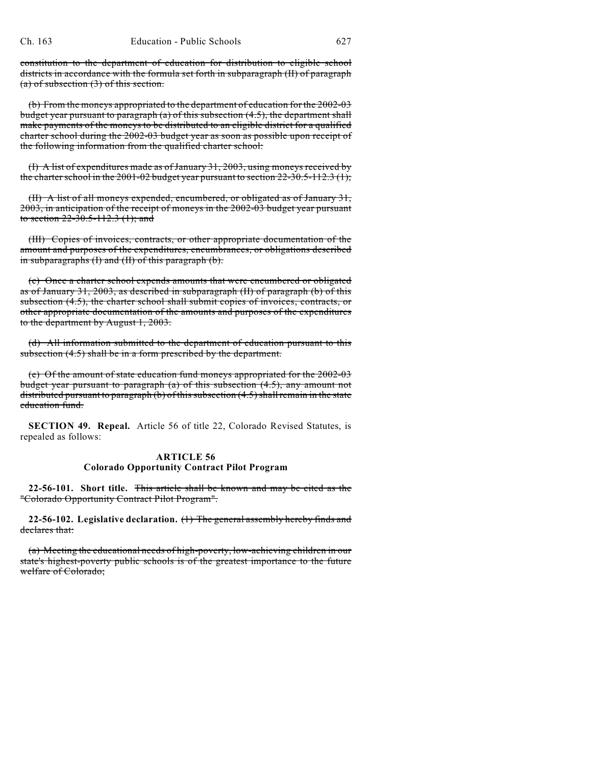constitution to the department of education for distribution to eligible school districts in accordance with the formula set forth in subparagraph (II) of paragraph (a) of subsection (3) of this section.

(b) From the moneys appropriated to the department of education for the 2002-03 budget year pursuant to paragraph  $(a)$  of this subsection  $(4.5)$ , the department shall make payments of the moneys to be distributed to an eligible district for a qualified charter school during the 2002-03 budget year as soon as possible upon receipt of the following information from the qualified charter school:

(I) A list of expenditures made as of January 31, 2003, using moneys received by the charter school in the  $2001-02$  budget year pursuant to section  $22-30.5-112.3$  (1);

(II) A list of all moneys expended, encumbered, or obligated as of January 31, 2003, in anticipation of the receipt of moneys in the 2002-03 budget year pursuant to section  $22 - 30.5 - 112.3$  (1); and

(III) Copies of invoices, contracts, or other appropriate documentation of the amount and purposes of the expenditures, encumbrances, or obligations described in subparagraphs (I) and (II) of this paragraph (b).

(c) Once a charter school expends amounts that were encumbered or obligated as of January 31, 2003, as described in subparagraph (II) of paragraph (b) of this subsection (4.5), the charter school shall submit copies of invoices, contracts, or other appropriate documentation of the amounts and purposes of the expenditures to the department by August 1, 2003.

(d) All information submitted to the department of education pursuant to this subsection (4.5) shall be in a form prescribed by the department.

(e) Of the amount of state education fund moneys appropriated for the 2002-03 budget year pursuant to paragraph (a) of this subsection (4.5), any amount not distributed pursuant to paragraph (b) of this subsection (4.5) shall remain in the state education fund.

**SECTION 49. Repeal.** Article 56 of title 22, Colorado Revised Statutes, is repealed as follows:

### **ARTICLE 56 Colorado Opportunity Contract Pilot Program**

**22-56-101. Short title.** This article shall be known and may be cited as the "Colorado Opportunity Contract Pilot Program".

**22-56-102. Legislative declaration.** (1) The general assembly hereby finds and declares that:

(a) Meeting the educational needs of high-poverty, low-achieving children in our state's highest-poverty public schools is of the greatest importance to the future welfare of Colorado;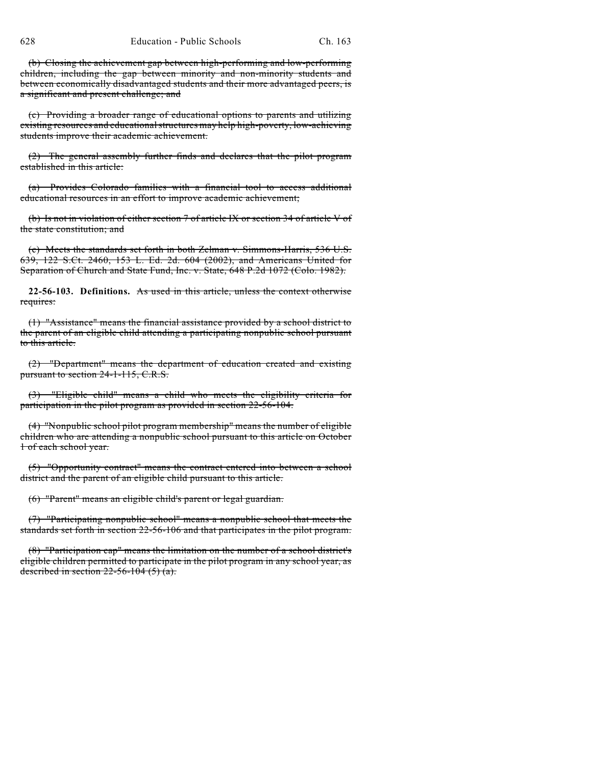(b) Closing the achievement gap between high-performing and low-performing children, including the gap between minority and non-minority students and between economically disadvantaged students and their more advantaged peers, is a significant and present challenge; and

(c) Providing a broader range of educational options to parents and utilizing existing resources and educationalstructures may help high-poverty, low-achieving students improve their academic achievement.

(2) The general assembly further finds and declares that the pilot program established in this article:

(a) Provides Colorado families with a financial tool to access additional educational resources in an effort to improve academic achievement;

(b) Is not in violation of either section 7 of article IX or section 34 of article V of the state constitution; and

(c) Meets the standards set forth in both Zelman v. Simmons-Harris, 536 U.S. 639, 122 S.Ct. 2460, 153 L. Ed. 2d. 604 (2002), and Americans United for Separation of Church and State Fund, Inc. v. State, 648 P.2d 1072 (Colo. 1982).

**22-56-103. Definitions.** As used in this article, unless the context otherwise requires:

(1) "Assistance" means the financial assistance provided by a school district to the parent of an eligible child attending a participating nonpublic school pursuant to this article.

(2) "Department" means the department of education created and existing pursuant to section 24-1-115, C.R.S.

(3) "Eligible child" means a child who meets the eligibility criteria for participation in the pilot program as provided in section 22-56-104.

(4) "Nonpublic school pilot program membership" means the number of eligible children who are attending a nonpublic school pursuant to this article on October 1 of each school year.

(5) "Opportunity contract" means the contract entered into between a school district and the parent of an eligible child pursuant to this article.

(6) "Parent" means an eligible child's parent or legal guardian.

(7) "Participating nonpublic school" means a nonpublic school that meets the standards set forth in section 22-56-106 and that participates in the pilot program.

(8) "Participation cap" means the limitation on the number of a school district's eligible children permitted to participate in the pilot program in any school year, as described in section  $22-56-104$  (5) (a).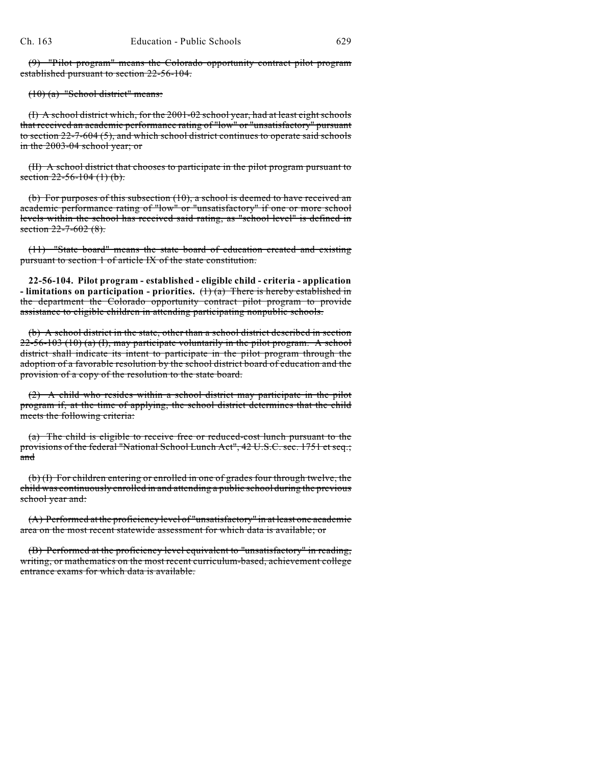(9) "Pilot program" means the Colorado opportunity contract pilot program established pursuant to section 22-56-104.

(10) (a) "School district" means:

(I) A school district which, for the 2001-02 school year, had at least eight schools that received an academic performance rating of "low" or "unsatisfactory" pursuant to section 22-7-604 (5), and which school district continues to operate said schools in the 2003-04 school year; or

(II) A school district that chooses to participate in the pilot program pursuant to section  $22 - 56 - 104$  (1) (b).

(b) For purposes of this subsection (10), a school is deemed to have received an academic performance rating of "low" or "unsatisfactory" if one or more school levels within the school has received said rating, as "school level" is defined in section 22-7-602 (8).

(11) "State board" means the state board of education created and existing pursuant to section 1 of article IX of the state constitution.

**22-56-104. Pilot program - established - eligible child - criteria - application - limitations on participation - priorities.** (1) (a) There is hereby established in the department the Colorado opportunity contract pilot program to provide assistance to eligible children in attending participating nonpublic schools.

(b) A school district in the state, other than a school district described in section  $22-56-103$  (10) (a) (I), may participate voluntarily in the pilot program. A school district shall indicate its intent to participate in the pilot program through the adoption of a favorable resolution by the school district board of education and the provision of a copy of the resolution to the state board.

(2) A child who resides within a school district may participate in the pilot program if, at the time of applying, the school district determines that the child meets the following criteria:

(a) The child is eligible to receive free or reduced-cost lunch pursuant to the provisions of the federal "National School Lunch Act", 42 U.S.C. sec. 1751 et seq.; and

(b) (I) For children entering or enrolled in one of grades four through twelve, the child was continuously enrolled in and attending a public school during the previous school year and:

(A) Performed at the proficiency level of "unsatisfactory" in at least one academic area on the most recent statewide assessment for which data is available; or

(B) Performed at the proficiency level equivalent to "unsatisfactory" in reading, writing, or mathematics on the most recent curriculum-based, achievement college entrance exams for which data is available.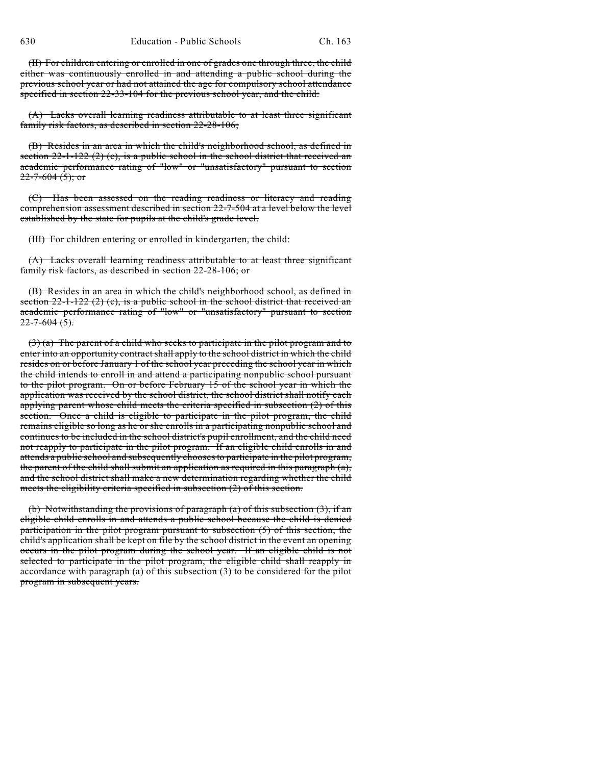(II) For children entering or enrolled in one of grades one through three, the child either was continuously enrolled in and attending a public school during the previous school year or had not attained the age for compulsory school attendance specified in section 22-33-104 for the previous school year, and the child:

(A) Lacks overall learning readiness attributable to at least three significant family risk factors, as described in section 22-28-106;

(B) Resides in an area in which the child's neighborhood school, as defined in section  $22-1-122$  (2) (c), is a public school in the school district that received an academic performance rating of "low" or "unsatisfactory" pursuant to section  $22 - 7 - 604$  (5); or

(C) Has been assessed on the reading readiness or literacy and reading comprehension assessment described in section 22-7-504 at a level below the level established by the state for pupils at the child's grade level.

(III) For children entering or enrolled in kindergarten, the child:

(A) Lacks overall learning readiness attributable to at least three significant family risk factors, as described in section 22-28-106; or

(B) Resides in an area in which the child's neighborhood school, as defined in section  $22$ -1-122 (2) (c), is a public school in the school district that received an academic performance rating of "low" or "unsatisfactory" pursuant to section  $22 - 7 - 604$  (5).

 $(3)$  (a) The parent of a child who seeks to participate in the pilot program and to enter into an opportunity contract shall apply to the school district in which the child resides on or before January 1 of the school year preceding the school year in which the child intends to enroll in and attend a participating nonpublic school pursuant to the pilot program. On or before February 15 of the school year in which the application was received by the school district, the school district shall notify each applying parent whose child meets the criteria specified in subsection (2) of this section. Once a child is eligible to participate in the pilot program, the child remains eligible so long as he or she enrolls in a participating nonpublic school and continues to be included in the school district's pupil enrollment, and the child need not reapply to participate in the pilot program. If an eligible child enrolls in and attends a public school and subsequently chooses to participate in the pilot program, the parent of the child shall submit an application as required in this paragraph (a), and the school district shall make a new determination regarding whether the child meets the eligibility criteria specified in subsection (2) of this section.

(b) Notwithstanding the provisions of paragraph  $(a)$  of this subsection  $(3)$ , if an eligible child enrolls in and attends a public school because the child is denied participation in the pilot program pursuant to subsection (5) of this section, the child's application shall be kept on file by the school district in the event an opening occurs in the pilot program during the school year. If an eligible child is not selected to participate in the pilot program, the eligible child shall reapply in accordance with paragraph (a) of this subsection  $(3)$  to be considered for the pilot program in subsequent years.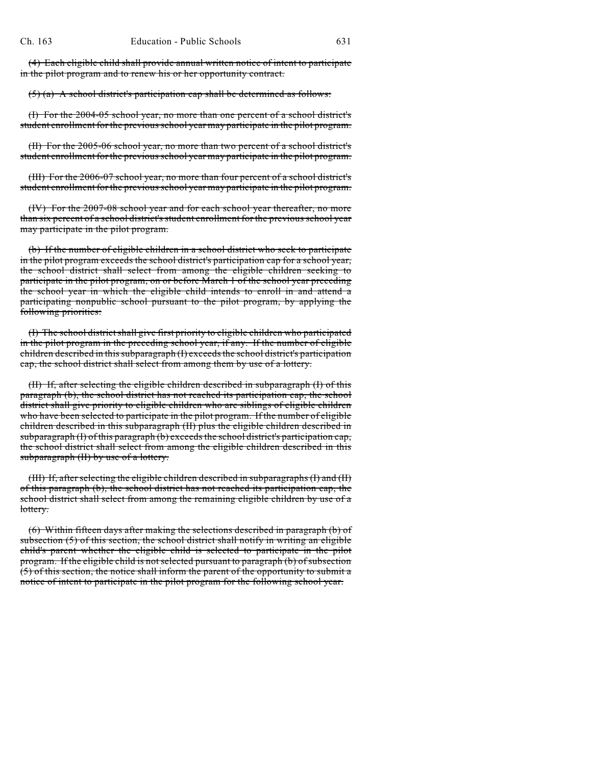(4) Each eligible child shall provide annual written notice of intent to participate in the pilot program and to renew his or her opportunity contract.

 $(5)$  (a) A school district's participation cap shall be determined as follows:

(I) For the 2004-05 school year, no more than one percent of a school district's student enrollment for the previous school year may participate in the pilot program.

(II) For the 2005-06 school year, no more than two percent of a school district's student enrollment for the previous school year may participate in the pilot program.

(III) For the 2006-07 school year, no more than four percent of a school district's student enrollment for the previous school year may participate in the pilot program.

(IV) For the 2007-08 school year and for each school year thereafter, no more than six percent of a school district's student enrollment for the previous school year may participate in the pilot program.

(b) If the number of eligible children in a school district who seek to participate in the pilot program exceeds the school district's participation cap for a school year, the school district shall select from among the eligible children seeking to participate in the pilot program, on or before March 1 of the school year preceding the school year in which the eligible child intends to enroll in and attend a participating nonpublic school pursuant to the pilot program, by applying the following priorities:

(I) The school districtshall give first priority to eligible children who participated in the pilot program in the preceding school year, if any. If the number of eligible children described in this subparagraph (I) exceedsthe school district's participation cap, the school district shall select from among them by use of a lottery.

(II) If, after selecting the eligible children described in subparagraph (I) of this paragraph (b), the school district has not reached its participation cap, the school district shall give priority to eligible children who are siblings of eligible children who have been selected to participate in the pilot program. If the number of eligible children described in this subparagraph (II) plus the eligible children described in subparagraph (I) of this paragraph (b) exceeds the school district's participation cap, the school district shall select from among the eligible children described in this subparagraph (II) by use of a lottery.

(III) If, after selecting the eligible children described in subparagraphs (I) and (II) of this paragraph (b), the school district has not reached its participation cap, the school district shall select from among the remaining eligible children by use of a lottery.

(6) Within fifteen days after making the selections described in paragraph (b) of subsection  $(5)$  of this section, the school district shall notify in writing an eligible child's parent whether the eligible child is selected to participate in the pilot program. If the eligible child is not selected pursuant to paragraph (b) of subsection (5) of this section, the notice shall inform the parent of the opportunity to submit a notice of intent to participate in the pilot program for the following school year.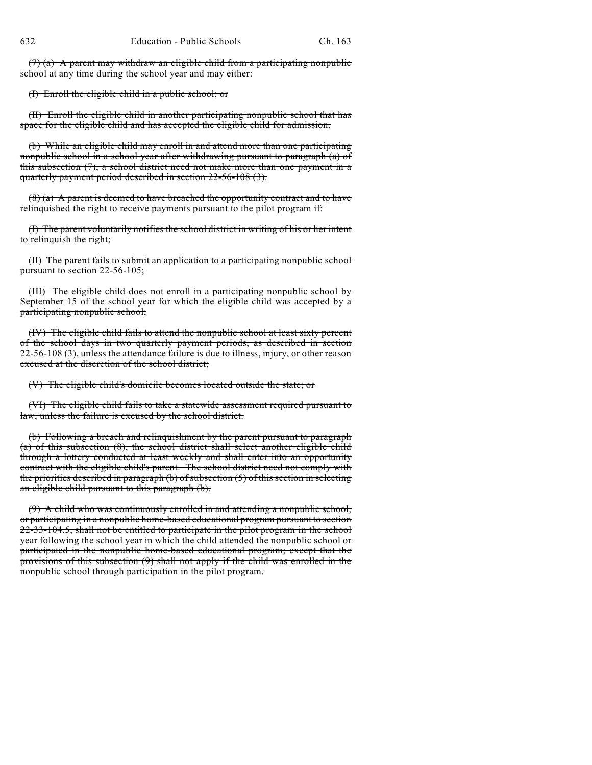$(7)$  (a) A parent may withdraw an eligible child from a participating nonpublic school at any time during the school year and may either:

(I) Enroll the eligible child in a public school; or

(II) Enroll the eligible child in another participating nonpublic school that has space for the eligible child and has accepted the eligible child for admission.

(b) While an eligible child may enroll in and attend more than one participating nonpublic school in a school year after withdrawing pursuant to paragraph (a) of this subsection  $(7)$ , a school district need not make more than one payment in a quarterly payment period described in section 22-56-108 (3).

 $(8)$  (a) A parent is deemed to have breached the opportunity contract and to have relinquished the right to receive payments pursuant to the pilot program if:

(I) The parent voluntarily notifies the school district in writing of his or her intent to relinquish the right;

(II) The parent fails to submit an application to a participating nonpublic school pursuant to section 22-56-105;

(III) The eligible child does not enroll in a participating nonpublic school by September 15 of the school year for which the eligible child was accepted by a participating nonpublic school;

(IV) The eligible child fails to attend the nonpublic school at least sixty percent of the school days in two quarterly payment periods, as described in section  $22-56-108$  (3), unless the attendance failure is due to illness, injury, or other reason excused at the discretion of the school district;

(V) The eligible child's domicile becomes located outside the state; or

(VI) The eligible child fails to take a statewide assessment required pursuant to law, unless the failure is excused by the school district.

(b) Following a breach and relinquishment by the parent pursuant to paragraph (a) of this subsection (8), the school district shall select another eligible child through a lottery conducted at least weekly and shall enter into an opportunity contract with the eligible child's parent. The school district need not comply with the priorities described in paragraph (b) of subsection (5) of this section in selecting an eligible child pursuant to this paragraph (b).

(9) A child who was continuously enrolled in and attending a nonpublic school, or participating in a nonpublic home-based educational program pursuant to section 22-33-104.5, shall not be entitled to participate in the pilot program in the school year following the school year in which the child attended the nonpublic school or participated in the nonpublic home-based educational program; except that the provisions of this subsection (9) shall not apply if the child was enrolled in the nonpublic school through participation in the pilot program.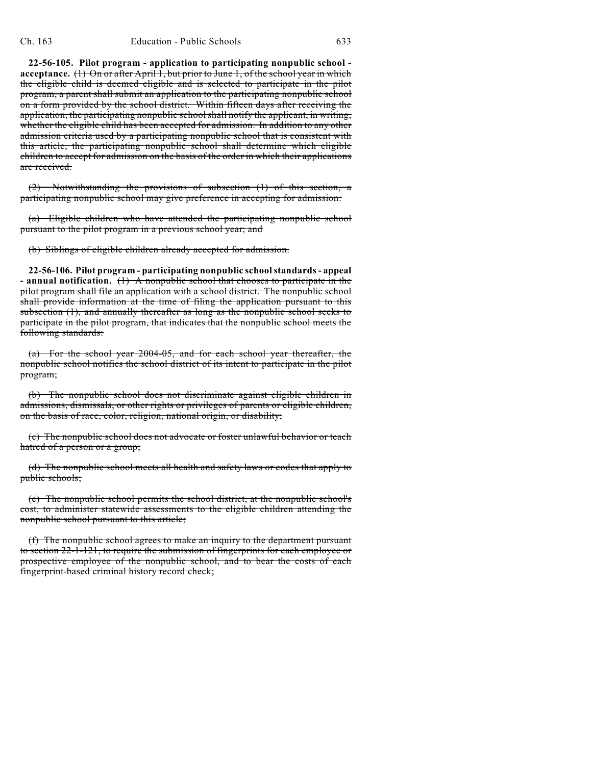**22-56-105. Pilot program - application to participating nonpublic school acceptance.** (1) On or after April 1, but prior to June 1, of the school year in which the eligible child is deemed eligible and is selected to participate in the pilot program, a parent shall submit an application to the participating nonpublic school on a form provided by the school district. Within fifteen days after receiving the application, the participating nonpublic school shall notify the applicant, in writing, whether the eligible child has been accepted for admission. In addition to any other admission criteria used by a participating nonpublic school that is consistent with this article, the participating nonpublic school shall determine which eligible children to accept for admission on the basis of the order in which their applications are received.

(2) Notwithstanding the provisions of subsection (1) of this section, a participating nonpublic school may give preference in accepting for admission:

(a) Eligible children who have attended the participating nonpublic school pursuant to the pilot program in a previous school year; and

(b) Siblings of eligible children already accepted for admission.

**22-56-106. Pilot program - participating nonpublic school standards - appeal - annual notification.** (1) A nonpublic school that chooses to participate in the pilot program shall file an application with a school district. The nonpublic school shall provide information at the time of filing the application pursuant to this subsection (1), and annually thereafter as long as the nonpublic school seeks to participate in the pilot program, that indicates that the nonpublic school meets the following standards:

(a) For the school year 2004-05, and for each school year thereafter, the nonpublic school notifies the school district of its intent to participate in the pilot program;

(b) The nonpublic school does not discriminate against eligible children in admissions, dismissals, or other rights or privileges of parents or eligible children, on the basis of race, color, religion, national origin, or disability;

(c) The nonpublic school does not advocate or foster unlawful behavior or teach hatred of a person or a group;

(d) The nonpublic school meets all health and safety laws or codes that apply to public schools;

(e) The nonpublic school permits the school district, at the nonpublic school's cost, to administer statewide assessments to the eligible children attending the nonpublic school pursuant to this article;

(f) The nonpublic school agrees to make an inquiry to the department pursuant to section 22-1-121, to require the submission of fingerprints for each employee or prospective employee of the nonpublic school, and to bear the costs of each fingerprint-based criminal history record check;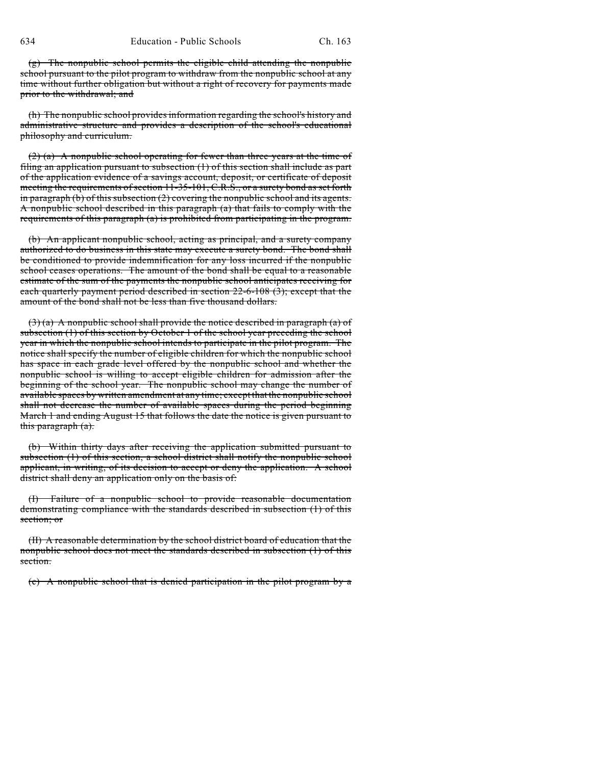(g) The nonpublic school permits the eligible child attending the nonpublic school pursuant to the pilot program to withdraw from the nonpublic school at any time without further obligation but without a right of recovery for payments made prior to the withdrawal; and

(h) The nonpublic school provides information regarding the school's history and administrative structure and provides a description of the school's educational philosophy and curriculum.

(2) (a) A nonpublic school operating for fewer than three years at the time of filing an application pursuant to subsection (1) of this section shall include as part of the application evidence of a savings account, deposit, or certificate of deposit meeting the requirements of section 11-35-101, C.R.S., or a surety bond as set forth in paragraph (b) of this subsection (2) covering the nonpublic school and its agents. A nonpublic school described in this paragraph (a) that fails to comply with the requirements of this paragraph (a) is prohibited from participating in the program.

(b) An applicant nonpublic school, acting as principal, and a surety company authorized to do business in this state may execute a surety bond. The bond shall be conditioned to provide indemnification for any loss incurred if the nonpublic school ceases operations. The amount of the bond shall be equal to a reasonable estimate of the sum of the payments the nonpublic school anticipates receiving for each quarterly payment period described in section 22-6-108 (3); except that the amount of the bond shall not be less than five thousand dollars.

 $(3)$  (a) A nonpublic school shall provide the notice described in paragraph (a) of subsection (1) of this section by October 1 of the school year preceding the school year in which the nonpublic school intends to participate in the pilot program. The notice shall specify the number of eligible children for which the nonpublic school has space in each grade level offered by the nonpublic school and whether the nonpublic school is willing to accept eligible children for admission after the beginning of the school year. The nonpublic school may change the number of available spaces by written amendment at any time; except that the nonpublic school shall not decrease the number of available spaces during the period beginning March 1 and ending August 15 that follows the date the notice is given pursuant to this paragraph (a).

(b) Within thirty days after receiving the application submitted pursuant to subsection (1) of this section, a school district shall notify the nonpublic school applicant, in writing, of its decision to accept or deny the application. A school district shall deny an application only on the basis of:

(I) Failure of a nonpublic school to provide reasonable documentation demonstrating compliance with the standards described in subsection (1) of this section; or

(II) A reasonable determination by the school district board of education that the nonpublic school does not meet the standards described in subsection (1) of this section.

(c) A nonpublic school that is denied participation in the pilot program by a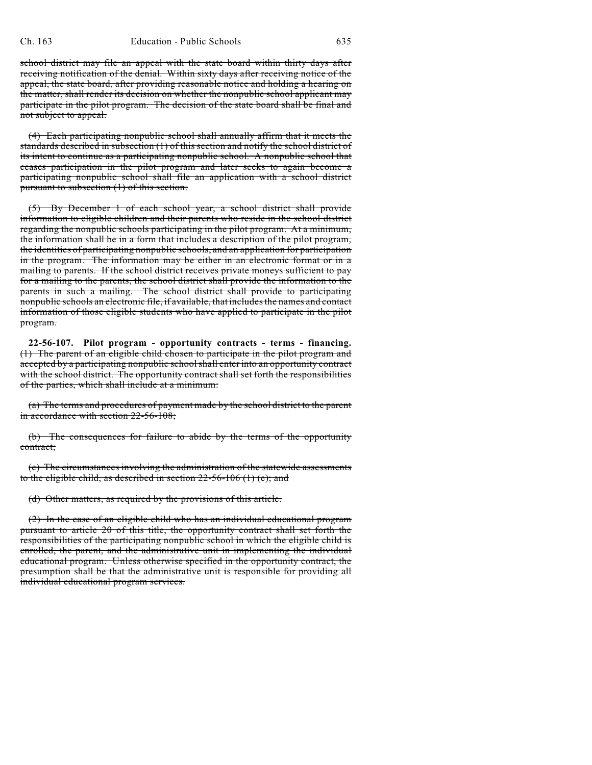school district may file an appeal with the state board within thirty days after receiving notification of the denial. Within sixty days after receiving notice of the appeal, the state board, after providing reasonable notice and holding a hearing on the matter, shall render its decision on whether the nonpublic school applicant may participate in the pilot program. The decision of the state board shall be final and not subject to appeal.

(4) Each participating nonpublic school shall annually affirm that it meets the standards described in subsection (1) of this section and notify the school district of its intent to continue as a participating nonpublic school. A nonpublic school that ceases participation in the pilot program and later seeks to again become a participating nonpublic school shall file an application with a school district pursuant to subsection (1) of this section.

(5) By December 1 of each school year, a school district shall provide information to eligible children and their parents who reside in the school district regarding the nonpublic schools participating in the pilot program. At a minimum, the information shall be in a form that includes a description of the pilot program, the identities of participating nonpublic schools, and an application for participation in the program. The information may be either in an electronic format or in a mailing to parents. If the school district receives private moneys sufficient to pay for a mailing to the parents, the school district shall provide the information to the parents in such a mailing. The school district shall provide to participating nonpublic schools an electronic file, if available, that includes the names and contact information of those eligible students who have applied to participate in the pilot program.

**22-56-107. Pilot program - opportunity contracts - terms - financing.** (1) The parent of an eligible child chosen to participate in the pilot program and accepted by a participating nonpublic school shall enter into an opportunity contract with the school district. The opportunity contract shall set forth the responsibilities of the parties, which shall include at a minimum:

(a) The terms and procedures of payment made by the school district to the parent in accordance with section 22-56-108;

(b) The consequences for failure to abide by the terms of the opportunity contract;

(c) The circumstances involving the administration of the statewide assessments to the eligible child, as described in section  $22-56-106$  (1) (e); and

(d) Other matters, as required by the provisions of this article.

(2) In the case of an eligible child who has an individual educational program pursuant to article 20 of this title, the opportunity contract shall set forth the responsibilities of the participating nonpublic school in which the eligible child is enrolled, the parent, and the administrative unit in implementing the individual educational program. Unless otherwise specified in the opportunity contract, the presumption shall be that the administrative unit is responsible for providing all individual educational program services.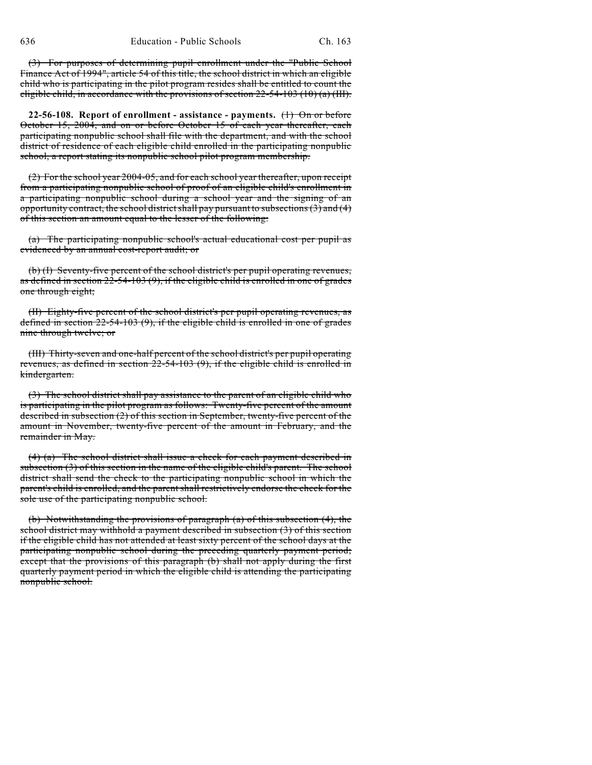(3) For purposes of determining pupil enrollment under the "Public School Finance Act of 1994", article 54 of this title, the school district in which an eligible child who is participating in the pilot program resides shall be entitled to count the eligible child, in accordance with the provisions of section  $22-54-103$  (10) (a) (III).

**22-56-108. Report of enrollment - assistance - payments.** (1) On or before October 15, 2004, and on or before October 15 of each year thereafter, each participating nonpublic school shall file with the department, and with the school district of residence of each eligible child enrolled in the participating nonpublic school, a report stating its nonpublic school pilot program membership.

(2) For the school year 2004-05, and for each school year thereafter, upon receipt from a participating nonpublic school of proof of an eligible child's enrollment in a participating nonpublic school during a school year and the signing of an opportunity contract, the school district shall pay pursuant to subsections  $(3)$  and  $(4)$ of this section an amount equal to the lesser of the following:

(a) The participating nonpublic school's actual educational cost per pupil as evidenced by an annual cost-report audit; or

(b) (I) Seventy-five percent of the school district's per pupil operating revenues, as defined in section  $2\overline{2}$ -54-103 (9), if the eligible child is enrolled in one of grades one through eight;

(II) Eighty-five percent of the school district's per pupil operating revenues, as defined in section 22-54-103 (9), if the eligible child is enrolled in one of grades nine through twelve; or

(III) Thirty-seven and one-half percent of the school district's per pupil operating revenues, as defined in section 22-54-103 (9), if the eligible child is enrolled in kindergarten.

(3) The school district shall pay assistance to the parent of an eligible child who is participating in the pilot program as follows: Twenty-five percent of the amount described in subsection (2) of this section in September, twenty-five percent of the amount in November, twenty-five percent of the amount in February, and the remainder in May.

(4) (a) The school district shall issue a check for each payment described in subsection (3) of this section in the name of the eligible child's parent. The school district shall send the check to the participating nonpublic school in which the parent's child is enrolled, and the parent shall restrictively endorse the check for the sole use of the participating nonpublic school.

(b) Notwithstanding the provisions of paragraph (a) of this subsection (4), the school district may withhold a payment described in subsection (3) of this section if the eligible child has not attended at least sixty percent of the school days at the participating nonpublic school during the preceding quarterly payment period; except that the provisions of this paragraph (b) shall not apply during the first quarterly payment period in which the eligible child is attending the participating nonpublic school.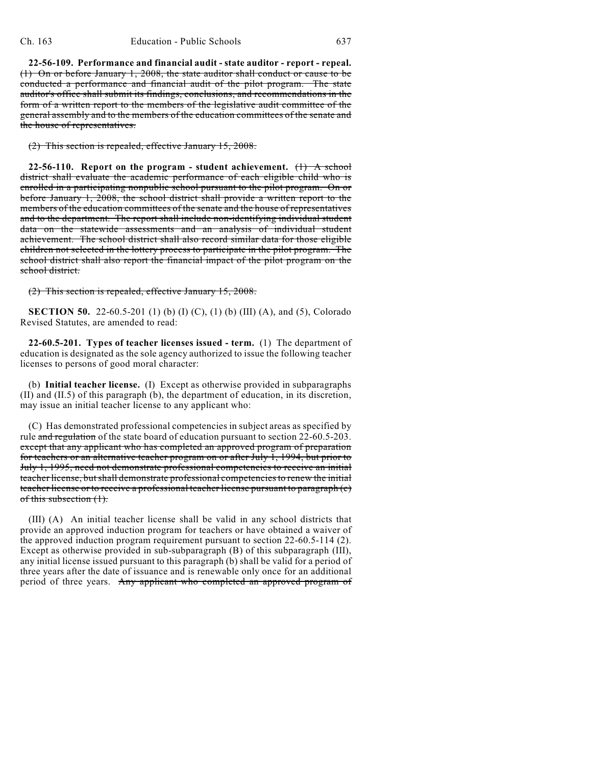**22-56-109. Performance and financial audit - state auditor - report - repeal.** (1) On or before January 1, 2008, the state auditor shall conduct or cause to be conducted a performance and financial audit of the pilot program. The state auditor's office shall submit its findings, conclusions, and recommendations in the form of a written report to the members of the legislative audit committee of the general assembly and to the members of the education committees of the senate and the house of representatives.

(2) This section is repealed, effective January 15, 2008.

**22-56-110.** Report on the program - student achievement.  $(1)$  A school district shall evaluate the academic performance of each eligible child who is enrolled in a participating nonpublic school pursuant to the pilot program. On or before January 1, 2008, the school district shall provide a written report to the members of the education committees of the senate and the house of representatives and to the department. The report shall include non-identifying individual student data on the statewide assessments and an analysis of individual student achievement. The school district shall also record similar data for those eligible children not selected in the lottery process to participate in the pilot program. The school district shall also report the financial impact of the pilot program on the school district.

(2) This section is repealed, effective January 15, 2008.

**SECTION 50.** 22-60.5-201 (1) (b) (I) (C), (1) (b) (III) (A), and (5), Colorado Revised Statutes, are amended to read:

**22-60.5-201. Types of teacher licenses issued - term.** (1) The department of education is designated as the sole agency authorized to issue the following teacher licenses to persons of good moral character:

(b) **Initial teacher license.** (I) Except as otherwise provided in subparagraphs (II) and (II.5) of this paragraph (b), the department of education, in its discretion, may issue an initial teacher license to any applicant who:

(C) Has demonstrated professional competencies in subject areas as specified by rule and regulation of the state board of education pursuant to section 22-60.5-203. except that any applicant who has completed an approved program of preparation for teachers or an alternative teacher program on or after July 1, 1994, but prior to July 1, 1995, need not demonstrate professional competencies to receive an initial teacher license, but shall demonstrate professional competenciesto renew the initial teacher license or to receive a professional teacher license pursuant to paragraph (c) of this subsection (1).

(III) (A) An initial teacher license shall be valid in any school districts that provide an approved induction program for teachers or have obtained a waiver of the approved induction program requirement pursuant to section 22-60.5-114 (2). Except as otherwise provided in sub-subparagraph (B) of this subparagraph (III), any initial license issued pursuant to this paragraph (b) shall be valid for a period of three years after the date of issuance and is renewable only once for an additional period of three years. Any applicant who completed an approved program of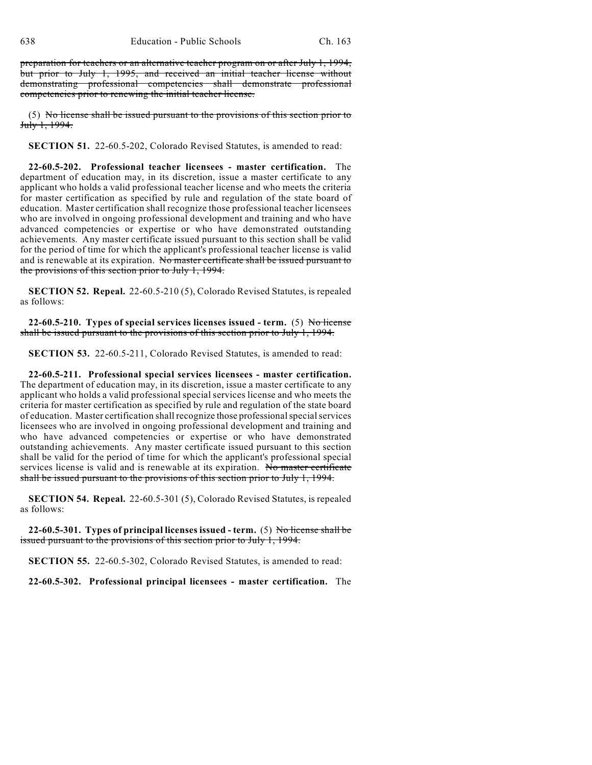preparation for teachers or an alternative teacher program on or after July 1, 1994, but prior to July 1, 1995, and received an initial teacher license without demonstrating professional competencies shall demonstrate professional competencies prior to renewing the initial teacher license.

(5) No license shall be issued pursuant to the provisions of this section prior to July 1, 1994.

**SECTION 51.** 22-60.5-202, Colorado Revised Statutes, is amended to read:

**22-60.5-202. Professional teacher licensees - master certification.** The department of education may, in its discretion, issue a master certificate to any applicant who holds a valid professional teacher license and who meets the criteria for master certification as specified by rule and regulation of the state board of education. Master certification shall recognize those professional teacher licensees who are involved in ongoing professional development and training and who have advanced competencies or expertise or who have demonstrated outstanding achievements. Any master certificate issued pursuant to this section shall be valid for the period of time for which the applicant's professional teacher license is valid and is renewable at its expiration. No master certificate shall be issued pursuant to the provisions of this section prior to July 1, 1994.

**SECTION 52. Repeal.** 22-60.5-210 (5), Colorado Revised Statutes, is repealed as follows:

**22-60.5-210. Types of special services licenses issued - term.** (5) No license shall be issued pursuant to the provisions of this section prior to July 1, 1994.

**SECTION 53.** 22-60.5-211, Colorado Revised Statutes, is amended to read:

**22-60.5-211. Professional special services licensees - master certification.** The department of education may, in its discretion, issue a master certificate to any applicant who holds a valid professional special services license and who meets the criteria for master certification as specified by rule and regulation of the state board of education. Master certification shall recognize those professional special services licensees who are involved in ongoing professional development and training and who have advanced competencies or expertise or who have demonstrated outstanding achievements. Any master certificate issued pursuant to this section shall be valid for the period of time for which the applicant's professional special services license is valid and is renewable at its expiration. No master certificate shall be issued pursuant to the provisions of this section prior to July 1, 1994.

**SECTION 54. Repeal.** 22-60.5-301 (5), Colorado Revised Statutes, is repealed as follows:

**22-60.5-301. Types of principal licenses issued - term.** (5) No license shall be issued pursuant to the provisions of this section prior to July 1, 1994.

**SECTION 55.** 22-60.5-302, Colorado Revised Statutes, is amended to read:

**22-60.5-302. Professional principal licensees - master certification.** The